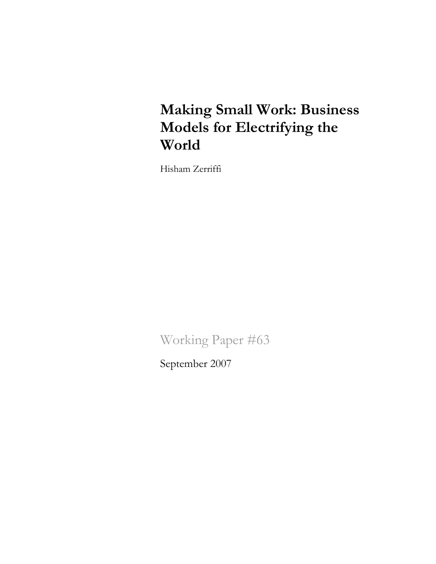# **Making Small Work: Business Models for Electrifying the World**

Hisham Zerriffi

Working Paper #63

September 2007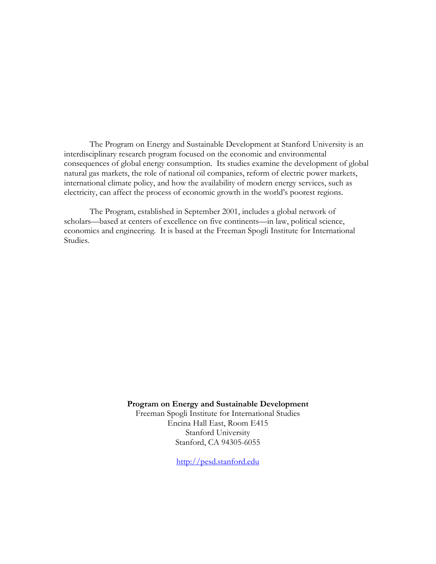The Program on Energy and Sustainable Development at Stanford University is an interdisciplinary research program focused on the economic and environmental consequences of global energy consumption. Its studies examine the development of global natural gas markets, the role of national oil companies, reform of electric power markets, international climate policy, and how the availability of modern energy services, such as electricity, can affect the process of economic growth in the world's poorest regions.

The Program, established in September 2001, includes a global network of scholars—based at centers of excellence on five continents—in law, political science, economics and engineering. It is based at the Freeman Spogli Institute for International Studies.

#### **Program on Energy and Sustainable Development**

Freeman Spogli Institute for International Studies Encina Hall East, Room E415 Stanford University Stanford, CA 94305-6055

http://pesd.stanford.edu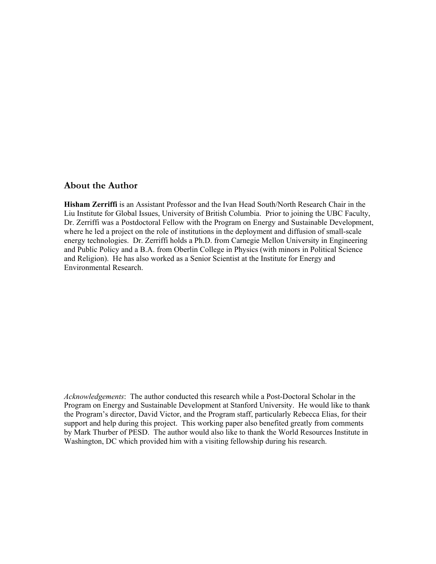### **About the Author**

**Hisham Zerriffi** is an Assistant Professor and the Ivan Head South/North Research Chair in the Liu Institute for Global Issues, University of British Columbia. Prior to joining the UBC Faculty, Dr. Zerriffi was a Postdoctoral Fellow with the Program on Energy and Sustainable Development, where he led a project on the role of institutions in the deployment and diffusion of small-scale energy technologies. Dr. Zerriffi holds a Ph.D. from Carnegie Mellon University in Engineering and Public Policy and a B.A. from Oberlin College in Physics (with minors in Political Science and Religion). He has also worked as a Senior Scientist at the Institute for Energy and Environmental Research.

*Acknowledgements*: The author conducted this research while a Post-Doctoral Scholar in the Program on Energy and Sustainable Development at Stanford University. He would like to thank the Program's director, David Victor, and the Program staff, particularly Rebecca Elias, for their support and help during this project. This working paper also benefited greatly from comments by Mark Thurber of PESD. The author would also like to thank the World Resources Institute in Washington, DC which provided him with a visiting fellowship during his research.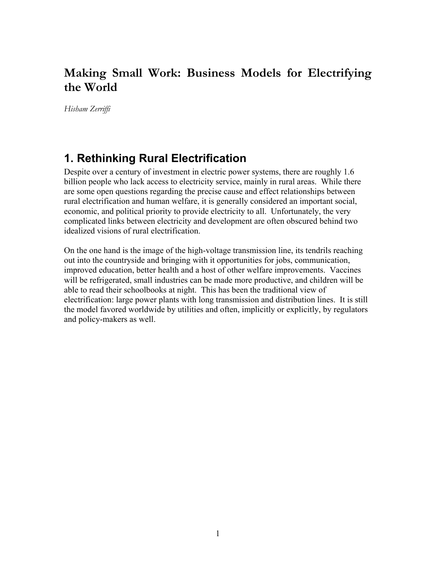## **Making Small Work: Business Models for Electrifying the World**

*Hisham Zerriffi*

## **1. Rethinking Rural Electrification**

Despite over a century of investment in electric power systems, there are roughly 1.6 billion people who lack access to electricity service, mainly in rural areas. While there are some open questions regarding the precise cause and effect relationships between rural electrification and human welfare, it is generally considered an important social, economic, and political priority to provide electricity to all. Unfortunately, the very complicated links between electricity and development are often obscured behind two idealized visions of rural electrification.

On the one hand is the image of the high-voltage transmission line, its tendrils reaching out into the countryside and bringing with it opportunities for jobs, communication, improved education, better health and a host of other welfare improvements. Vaccines will be refrigerated, small industries can be made more productive, and children will be able to read their schoolbooks at night. This has been the traditional view of electrification: large power plants with long transmission and distribution lines. It is still the model favored worldwide by utilities and often, implicitly or explicitly, by regulators and policy-makers as well.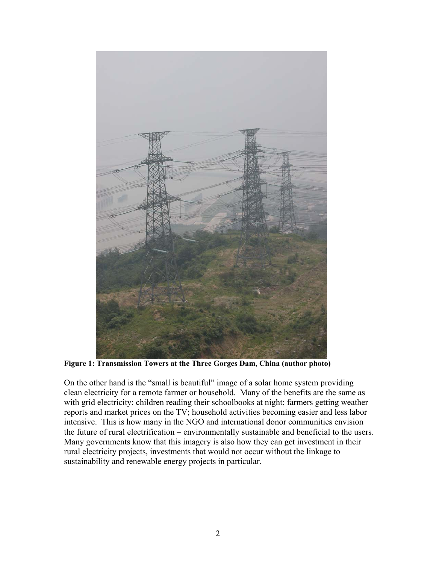

**Figure 1: Transmission Towers at the Three Gorges Dam, China (author photo)** 

On the other hand is the "small is beautiful" image of a solar home system providing clean electricity for a remote farmer or household. Many of the benefits are the same as with grid electricity: children reading their schoolbooks at night; farmers getting weather reports and market prices on the TV; household activities becoming easier and less labor intensive. This is how many in the NGO and international donor communities envision the future of rural electrification – environmentally sustainable and beneficial to the users. Many governments know that this imagery is also how they can get investment in their rural electricity projects, investments that would not occur without the linkage to sustainability and renewable energy projects in particular.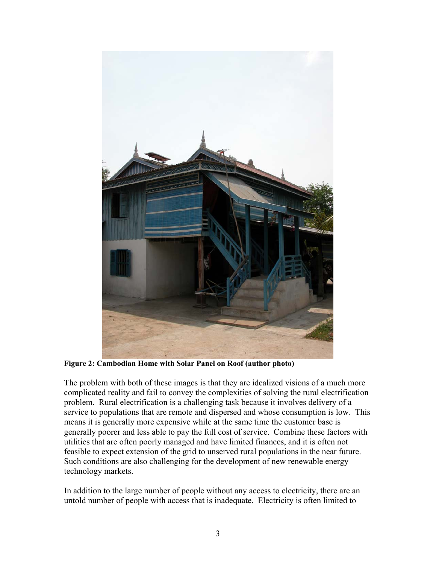

**Figure 2: Cambodian Home with Solar Panel on Roof (author photo)** 

The problem with both of these images is that they are idealized visions of a much more complicated reality and fail to convey the complexities of solving the rural electrification problem. Rural electrification is a challenging task because it involves delivery of a service to populations that are remote and dispersed and whose consumption is low. This means it is generally more expensive while at the same time the customer base is generally poorer and less able to pay the full cost of service. Combine these factors with utilities that are often poorly managed and have limited finances, and it is often not feasible to expect extension of the grid to unserved rural populations in the near future. Such conditions are also challenging for the development of new renewable energy technology markets.

In addition to the large number of people without any access to electricity, there are an untold number of people with access that is inadequate. Electricity is often limited to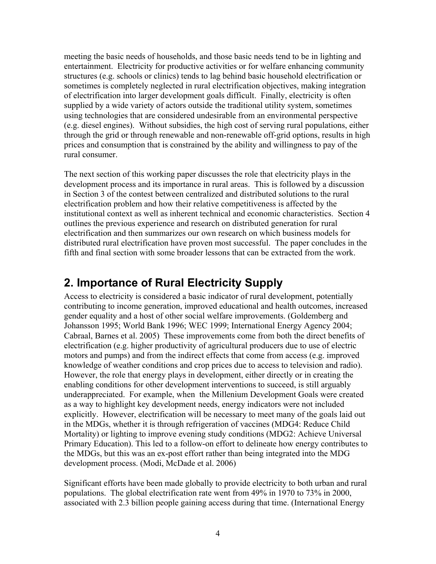meeting the basic needs of households, and those basic needs tend to be in lighting and entertainment. Electricity for productive activities or for welfare enhancing community structures (e.g. schools or clinics) tends to lag behind basic household electrification or sometimes is completely neglected in rural electrification objectives, making integration of electrification into larger development goals difficult. Finally, electricity is often supplied by a wide variety of actors outside the traditional utility system, sometimes using technologies that are considered undesirable from an environmental perspective (e.g. diesel engines). Without subsidies, the high cost of serving rural populations, either through the grid or through renewable and non-renewable off-grid options, results in high prices and consumption that is constrained by the ability and willingness to pay of the rural consumer.

The next section of this working paper discusses the role that electricity plays in the development process and its importance in rural areas. This is followed by a discussion in Section 3 of the contest between centralized and distributed solutions to the rural electrification problem and how their relative competitiveness is affected by the institutional context as well as inherent technical and economic characteristics. Section 4 outlines the previous experience and research on distributed generation for rural electrification and then summarizes our own research on which business models for distributed rural electrification have proven most successful. The paper concludes in the fifth and final section with some broader lessons that can be extracted from the work.

## **2. Importance of Rural Electricity Supply**

Access to electricity is considered a basic indicator of rural development, potentially contributing to income generation, improved educational and health outcomes, increased gender equality and a host of other social welfare improvements. (Goldemberg and Johansson 1995; World Bank 1996; WEC 1999; International Energy Agency 2004; Cabraal, Barnes et al. 2005) These improvements come from both the direct benefits of electrification (e.g. higher productivity of agricultural producers due to use of electric motors and pumps) and from the indirect effects that come from access (e.g. improved knowledge of weather conditions and crop prices due to access to television and radio). However, the role that energy plays in development, either directly or in creating the enabling conditions for other development interventions to succeed, is still arguably underappreciated. For example, when the Millenium Development Goals were created as a way to highlight key development needs, energy indicators were not included explicitly. However, electrification will be necessary to meet many of the goals laid out in the MDGs, whether it is through refrigeration of vaccines (MDG4: Reduce Child Mortality) or lighting to improve evening study conditions (MDG2: Achieve Universal Primary Education). This led to a follow-on effort to delineate how energy contributes to the MDGs, but this was an ex-post effort rather than being integrated into the MDG development process. (Modi, McDade et al. 2006)

Significant efforts have been made globally to provide electricity to both urban and rural populations. The global electrification rate went from 49% in 1970 to 73% in 2000, associated with 2.3 billion people gaining access during that time. (International Energy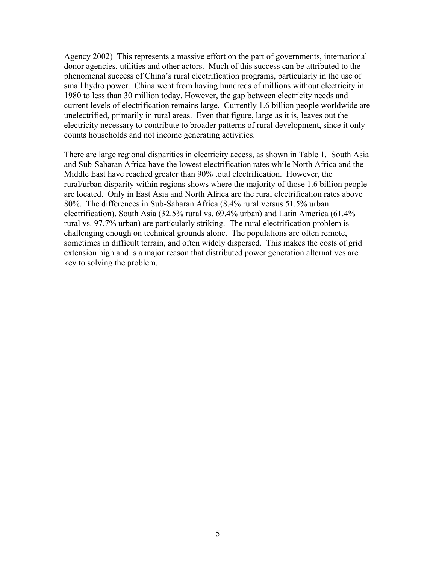Agency 2002) This represents a massive effort on the part of governments, international donor agencies, utilities and other actors. Much of this success can be attributed to the phenomenal success of China's rural electrification programs, particularly in the use of small hydro power. China went from having hundreds of millions without electricity in 1980 to less than 30 million today. However, the gap between electricity needs and current levels of electrification remains large. Currently 1.6 billion people worldwide are unelectrified, primarily in rural areas. Even that figure, large as it is, leaves out the electricity necessary to contribute to broader patterns of rural development, since it only counts households and not income generating activities.

There are large regional disparities in electricity access, as shown in Table 1. South Asia and Sub-Saharan Africa have the lowest electrification rates while North Africa and the Middle East have reached greater than 90% total electrification. However, the rural/urban disparity within regions shows where the majority of those 1.6 billion people are located. Only in East Asia and North Africa are the rural electrification rates above 80%. The differences in Sub-Saharan Africa (8.4% rural versus 51.5% urban electrification), South Asia (32.5% rural vs. 69.4% urban) and Latin America (61.4% rural vs. 97.7% urban) are particularly striking. The rural electrification problem is challenging enough on technical grounds alone. The populations are often remote, sometimes in difficult terrain, and often widely dispersed. This makes the costs of grid extension high and is a major reason that distributed power generation alternatives are key to solving the problem.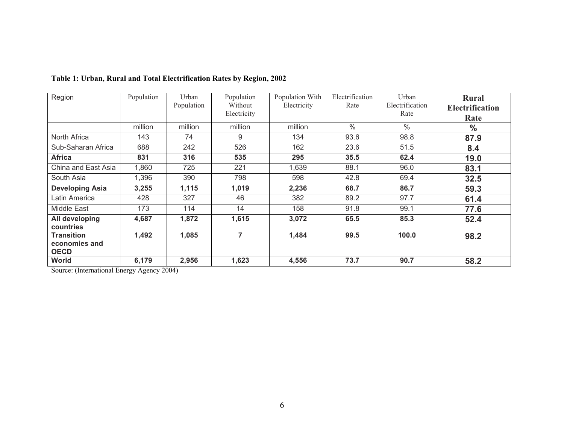| Region                                            | Population | Urban<br>Population | Population<br>Without<br>Electricity | Population With<br>Electricity | Electrification<br>Rate | Urban<br>Electrification<br>Rate | <b>Rural</b><br><b>Electrification</b><br>Rate |
|---------------------------------------------------|------------|---------------------|--------------------------------------|--------------------------------|-------------------------|----------------------------------|------------------------------------------------|
|                                                   | million    | million             | million                              | million                        | $\frac{0}{0}$           | $\%$                             | $\frac{0}{0}$                                  |
| North Africa                                      | 143        | 74                  | 9                                    | 134                            | 93.6                    | 98.8                             | 87.9                                           |
| Sub-Saharan Africa                                | 688        | 242                 | 526                                  | 162                            | 23.6                    | 51.5                             | 8.4                                            |
| <b>Africa</b>                                     | 831        | 316                 | 535                                  | 295                            | 35.5                    | 62.4                             | 19.0                                           |
| China and East Asia                               | 1,860      | 725                 | 221                                  | 1,639                          | 88.1                    | 96.0                             | 83.1                                           |
| South Asia                                        | 1,396      | 390                 | 798                                  | 598                            | 42.8                    | 69.4                             | 32.5                                           |
| <b>Developing Asia</b>                            | 3,255      | 1,115               | 1,019                                | 2,236                          | 68.7                    | 86.7                             | 59.3                                           |
| Latin America                                     | 428        | 327                 | 46                                   | 382                            | 89.2                    | 97.7                             | 61.4                                           |
| Middle East                                       | 173        | 114                 | 14                                   | 158                            | 91.8                    | 99.1                             | 77.6                                           |
| All developing<br>countries                       | 4,687      | 1,872               | 1,615                                | 3,072                          | 65.5                    | 85.3                             | 52.4                                           |
| <b>Transition</b><br>economies and<br><b>OECD</b> | 1,492      | 1,085               | 7                                    | 1,484                          | 99.5                    | 100.0                            | 98.2                                           |
| World                                             | 6,179      | 2,956               | 1,623                                | 4,556                          | 73.7                    | 90.7                             | 58.2                                           |

### **Table 1: Urban, Rural and Total Electrification Rates by Region, 2002**

Source: (International Energy Agency 2004)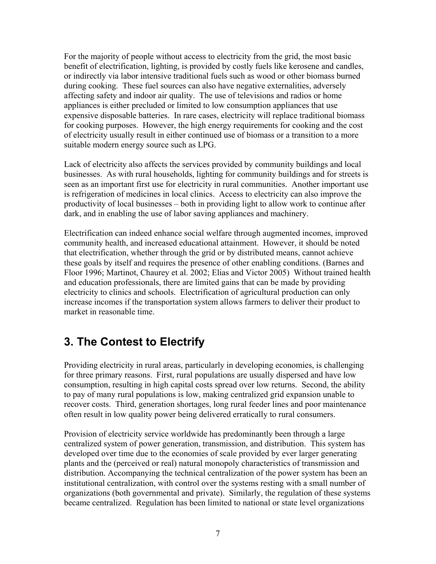For the majority of people without access to electricity from the grid, the most basic benefit of electrification, lighting, is provided by costly fuels like kerosene and candles, or indirectly via labor intensive traditional fuels such as wood or other biomass burned during cooking. These fuel sources can also have negative externalities, adversely affecting safety and indoor air quality. The use of televisions and radios or home appliances is either precluded or limited to low consumption appliances that use expensive disposable batteries. In rare cases, electricity will replace traditional biomass for cooking purposes. However, the high energy requirements for cooking and the cost of electricity usually result in either continued use of biomass or a transition to a more suitable modern energy source such as LPG.

Lack of electricity also affects the services provided by community buildings and local businesses. As with rural households, lighting for community buildings and for streets is seen as an important first use for electricity in rural communities. Another important use is refrigeration of medicines in local clinics. Access to electricity can also improve the productivity of local businesses – both in providing light to allow work to continue after dark, and in enabling the use of labor saving appliances and machinery.

Electrification can indeed enhance social welfare through augmented incomes, improved community health, and increased educational attainment. However, it should be noted that electrification, whether through the grid or by distributed means, cannot achieve these goals by itself and requires the presence of other enabling conditions. (Barnes and Floor 1996; Martinot, Chaurey et al. 2002; Elias and Victor 2005) Without trained health and education professionals, there are limited gains that can be made by providing electricity to clinics and schools. Electrification of agricultural production can only increase incomes if the transportation system allows farmers to deliver their product to market in reasonable time.

## **3. The Contest to Electrify**

Providing electricity in rural areas, particularly in developing economies, is challenging for three primary reasons. First, rural populations are usually dispersed and have low consumption, resulting in high capital costs spread over low returns. Second, the ability to pay of many rural populations is low, making centralized grid expansion unable to recover costs. Third, generation shortages, long rural feeder lines and poor maintenance often result in low quality power being delivered erratically to rural consumers.

Provision of electricity service worldwide has predominantly been through a large centralized system of power generation, transmission, and distribution. This system has developed over time due to the economies of scale provided by ever larger generating plants and the (perceived or real) natural monopoly characteristics of transmission and distribution. Accompanying the technical centralization of the power system has been an institutional centralization, with control over the systems resting with a small number of organizations (both governmental and private). Similarly, the regulation of these systems became centralized. Regulation has been limited to national or state level organizations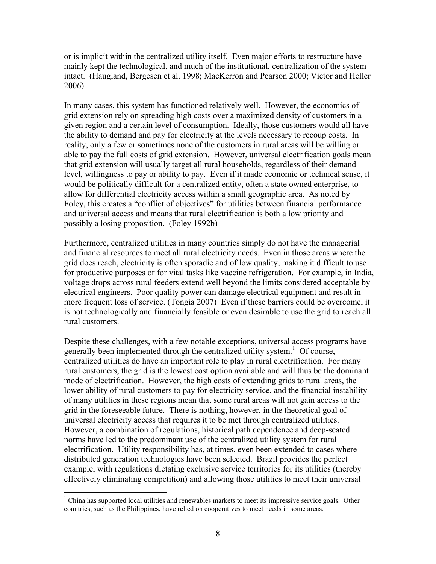or is implicit within the centralized utility itself. Even major efforts to restructure have mainly kept the technological, and much of the institutional, centralization of the system intact. (Haugland, Bergesen et al. 1998; MacKerron and Pearson 2000; Victor and Heller 2006)

In many cases, this system has functioned relatively well. However, the economics of grid extension rely on spreading high costs over a maximized density of customers in a given region and a certain level of consumption. Ideally, those customers would all have the ability to demand and pay for electricity at the levels necessary to recoup costs. In reality, only a few or sometimes none of the customers in rural areas will be willing or able to pay the full costs of grid extension. However, universal electrification goals mean that grid extension will usually target all rural households, regardless of their demand level, willingness to pay or ability to pay. Even if it made economic or technical sense, it would be politically difficult for a centralized entity, often a state owned enterprise, to allow for differential electricity access within a small geographic area. As noted by Foley, this creates a "conflict of objectives" for utilities between financial performance and universal access and means that rural electrification is both a low priority and possibly a losing proposition. (Foley 1992b)

Furthermore, centralized utilities in many countries simply do not have the managerial and financial resources to meet all rural electricity needs. Even in those areas where the grid does reach, electricity is often sporadic and of low quality, making it difficult to use for productive purposes or for vital tasks like vaccine refrigeration. For example, in India, voltage drops across rural feeders extend well beyond the limits considered acceptable by electrical engineers. Poor quality power can damage electrical equipment and result in more frequent loss of service. (Tongia 2007) Even if these barriers could be overcome, it is not technologically and financially feasible or even desirable to use the grid to reach all rural customers.

Despite these challenges, with a few notable exceptions, universal access programs have generally been implemented through the centralized utility system.<sup>1</sup> Of course, centralized utilities do have an important role to play in rural electrification. For many rural customers, the grid is the lowest cost option available and will thus be the dominant mode of electrification. However, the high costs of extending grids to rural areas, the lower ability of rural customers to pay for electricity service, and the financial instability of many utilities in these regions mean that some rural areas will not gain access to the grid in the foreseeable future. There is nothing, however, in the theoretical goal of universal electricity access that requires it to be met through centralized utilities. However, a combination of regulations, historical path dependence and deep-seated norms have led to the predominant use of the centralized utility system for rural electrification. Utility responsibility has, at times, even been extended to cases where distributed generation technologies have been selected. Brazil provides the perfect example, with regulations dictating exclusive service territories for its utilities (thereby effectively eliminating competition) and allowing those utilities to meet their universal

 $\overline{a}$ 

<sup>&</sup>lt;sup>1</sup> China has supported local utilities and renewables markets to meet its impressive service goals. Other countries, such as the Philippines, have relied on cooperatives to meet needs in some areas.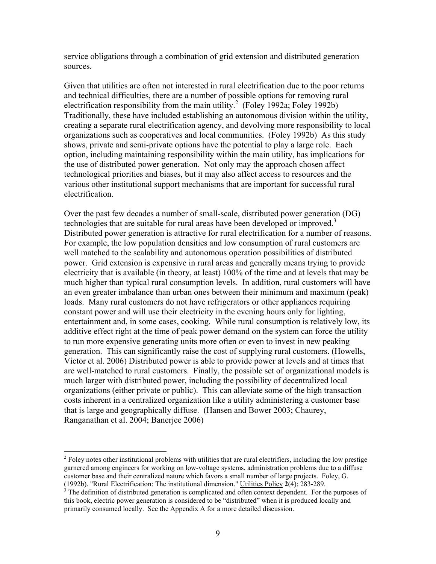service obligations through a combination of grid extension and distributed generation sources.

Given that utilities are often not interested in rural electrification due to the poor returns and technical difficulties, there are a number of possible options for removing rural electrification responsibility from the main utility.<sup>2</sup> (Foley 1992a; Foley 1992b) Traditionally, these have included establishing an autonomous division within the utility, creating a separate rural electrification agency, and devolving more responsibility to local organizations such as cooperatives and local communities. (Foley 1992b) As this study shows, private and semi-private options have the potential to play a large role. Each option, including maintaining responsibility within the main utility, has implications for the use of distributed power generation. Not only may the approach chosen affect technological priorities and biases, but it may also affect access to resources and the various other institutional support mechanisms that are important for successful rural electrification.

Over the past few decades a number of small-scale, distributed power generation (DG) technologies that are suitable for rural areas have been developed or improved.<sup>3</sup> Distributed power generation is attractive for rural electrification for a number of reasons. For example, the low population densities and low consumption of rural customers are well matched to the scalability and autonomous operation possibilities of distributed power. Grid extension is expensive in rural areas and generally means trying to provide electricity that is available (in theory, at least) 100% of the time and at levels that may be much higher than typical rural consumption levels. In addition, rural customers will have an even greater imbalance than urban ones between their minimum and maximum (peak) loads. Many rural customers do not have refrigerators or other appliances requiring constant power and will use their electricity in the evening hours only for lighting, entertainment and, in some cases, cooking. While rural consumption is relatively low, its additive effect right at the time of peak power demand on the system can force the utility to run more expensive generating units more often or even to invest in new peaking generation. This can significantly raise the cost of supplying rural customers. (Howells, Victor et al. 2006) Distributed power is able to provide power at levels and at times that are well-matched to rural customers. Finally, the possible set of organizational models is much larger with distributed power, including the possibility of decentralized local organizations (either private or public). This can alleviate some of the high transaction costs inherent in a centralized organization like a utility administering a customer base that is large and geographically diffuse. (Hansen and Bower 2003; Chaurey, Ranganathan et al. 2004; Banerjee 2006)

 $\overline{a}$ 

 $2^2$  Foley notes other institutional problems with utilities that are rural electrifiers, including the low prestige garnered among engineers for working on low-voltage systems, administration problems due to a diffuse customer base and their centralized nature which favors a small number of large projects. Foley, G. (1992b). "Rural Electrification: The institutional dimension." Utilities Policy **<sup>2</sup>**(4): 283-289. 3

 $\frac{3}{3}$  The definition of distributed generation is complicated and often context dependent. For the purposes of this book, electric power generation is considered to be "distributed" when it is produced locally and primarily consumed locally. See the Appendix A for a more detailed discussion.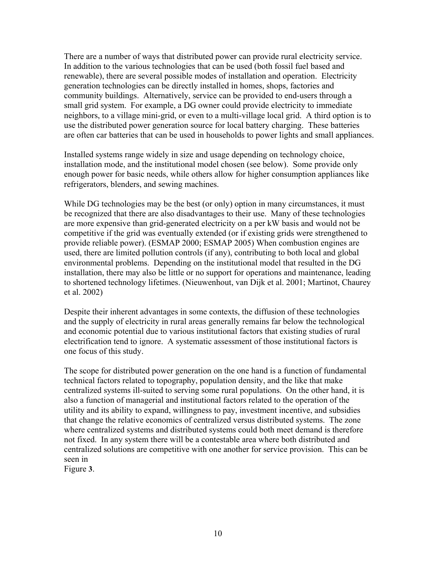There are a number of ways that distributed power can provide rural electricity service. In addition to the various technologies that can be used (both fossil fuel based and renewable), there are several possible modes of installation and operation. Electricity generation technologies can be directly installed in homes, shops, factories and community buildings. Alternatively, service can be provided to end-users through a small grid system. For example, a DG owner could provide electricity to immediate neighbors, to a village mini-grid, or even to a multi-village local grid. A third option is to use the distributed power generation source for local battery charging. These batteries are often car batteries that can be used in households to power lights and small appliances.

Installed systems range widely in size and usage depending on technology choice, installation mode, and the institutional model chosen (see below). Some provide only enough power for basic needs, while others allow for higher consumption appliances like refrigerators, blenders, and sewing machines.

While DG technologies may be the best (or only) option in many circumstances, it must be recognized that there are also disadvantages to their use. Many of these technologies are more expensive than grid-generated electricity on a per kW basis and would not be competitive if the grid was eventually extended (or if existing grids were strengthened to provide reliable power). (ESMAP 2000; ESMAP 2005) When combustion engines are used, there are limited pollution controls (if any), contributing to both local and global environmental problems. Depending on the institutional model that resulted in the DG installation, there may also be little or no support for operations and maintenance, leading to shortened technology lifetimes. (Nieuwenhout, van Dijk et al. 2001; Martinot, Chaurey et al. 2002)

Despite their inherent advantages in some contexts, the diffusion of these technologies and the supply of electricity in rural areas generally remains far below the technological and economic potential due to various institutional factors that existing studies of rural electrification tend to ignore. A systematic assessment of those institutional factors is one focus of this study.

The scope for distributed power generation on the one hand is a function of fundamental technical factors related to topography, population density, and the like that make centralized systems ill-suited to serving some rural populations. On the other hand, it is also a function of managerial and institutional factors related to the operation of the utility and its ability to expand, willingness to pay, investment incentive, and subsidies that change the relative economics of centralized versus distributed systems. The zone where centralized systems and distributed systems could both meet demand is therefore not fixed. In any system there will be a contestable area where both distributed and centralized solutions are competitive with one another for service provision. This can be seen in

Figure **3**.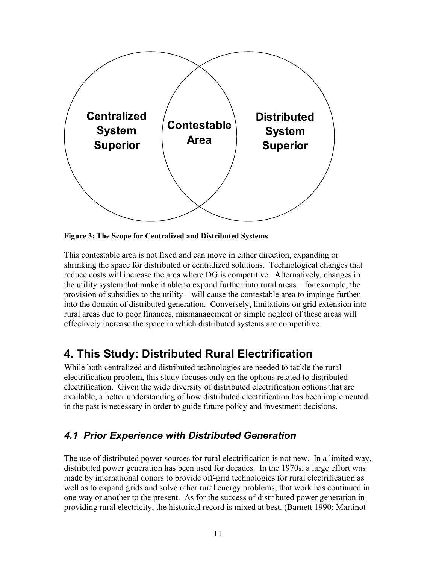

**Figure 3: The Scope for Centralized and Distributed Systems** 

This contestable area is not fixed and can move in either direction, expanding or shrinking the space for distributed or centralized solutions. Technological changes that reduce costs will increase the area where DG is competitive. Alternatively, changes in the utility system that make it able to expand further into rural areas – for example, the provision of subsidies to the utility – will cause the contestable area to impinge further into the domain of distributed generation. Conversely, limitations on grid extension into rural areas due to poor finances, mismanagement or simple neglect of these areas will effectively increase the space in which distributed systems are competitive.

## **4. This Study: Distributed Rural Electrification**

While both centralized and distributed technologies are needed to tackle the rural electrification problem, this study focuses only on the options related to distributed electrification. Given the wide diversity of distributed electrification options that are available, a better understanding of how distributed electrification has been implemented in the past is necessary in order to guide future policy and investment decisions.

## *4.1 Prior Experience with Distributed Generation*

The use of distributed power sources for rural electrification is not new. In a limited way, distributed power generation has been used for decades. In the 1970s, a large effort was made by international donors to provide off-grid technologies for rural electrification as well as to expand grids and solve other rural energy problems; that work has continued in one way or another to the present. As for the success of distributed power generation in providing rural electricity, the historical record is mixed at best. (Barnett 1990; Martinot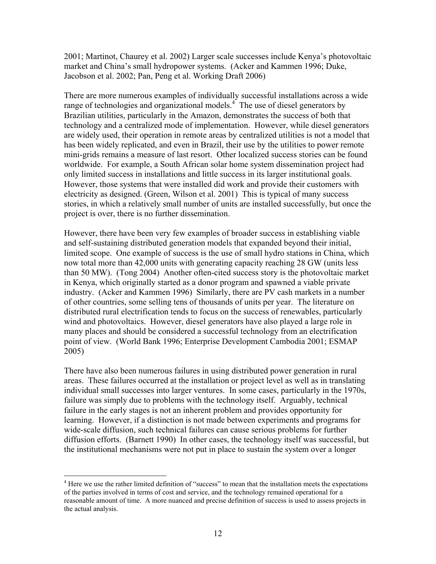2001; Martinot, Chaurey et al. 2002) Larger scale successes include Kenya's photovoltaic market and China's small hydropower systems. (Acker and Kammen 1996; Duke, Jacobson et al. 2002; Pan, Peng et al. Working Draft 2006)

There are more numerous examples of individually successful installations across a wide range of technologies and organizational models. $4^{\circ}$  The use of diesel generators by Brazilian utilities, particularly in the Amazon, demonstrates the success of both that technology and a centralized mode of implementation. However, while diesel generators are widely used, their operation in remote areas by centralized utilities is not a model that has been widely replicated, and even in Brazil, their use by the utilities to power remote mini-grids remains a measure of last resort. Other localized success stories can be found worldwide. For example, a South African solar home system dissemination project had only limited success in installations and little success in its larger institutional goals. However, those systems that were installed did work and provide their customers with electricity as designed. (Green, Wilson et al. 2001) This is typical of many success stories, in which a relatively small number of units are installed successfully, but once the project is over, there is no further dissemination.

However, there have been very few examples of broader success in establishing viable and self-sustaining distributed generation models that expanded beyond their initial, limited scope. One example of success is the use of small hydro stations in China, which now total more than 42,000 units with generating capacity reaching 28 GW (units less than 50 MW). (Tong 2004) Another often-cited success story is the photovoltaic market in Kenya, which originally started as a donor program and spawned a viable private industry. (Acker and Kammen 1996) Similarly, there are PV cash markets in a number of other countries, some selling tens of thousands of units per year. The literature on distributed rural electrification tends to focus on the success of renewables, particularly wind and photovoltaics. However, diesel generators have also played a large role in many places and should be considered a successful technology from an electrification point of view. (World Bank 1996; Enterprise Development Cambodia 2001; ESMAP 2005)

There have also been numerous failures in using distributed power generation in rural areas. These failures occurred at the installation or project level as well as in translating individual small successes into larger ventures. In some cases, particularly in the 1970s, failure was simply due to problems with the technology itself. Arguably, technical failure in the early stages is not an inherent problem and provides opportunity for learning. However, if a distinction is not made between experiments and programs for wide-scale diffusion, such technical failures can cause serious problems for further diffusion efforts. (Barnett 1990) In other cases, the technology itself was successful, but the institutional mechanisms were not put in place to sustain the system over a longer

 $\overline{a}$ 

<sup>&</sup>lt;sup>4</sup> Here we use the rather limited definition of "success" to mean that the installation meets the expectations of the parties involved in terms of cost and service, and the technology remained operational for a reasonable amount of time. A more nuanced and precise definition of success is used to assess projects in the actual analysis.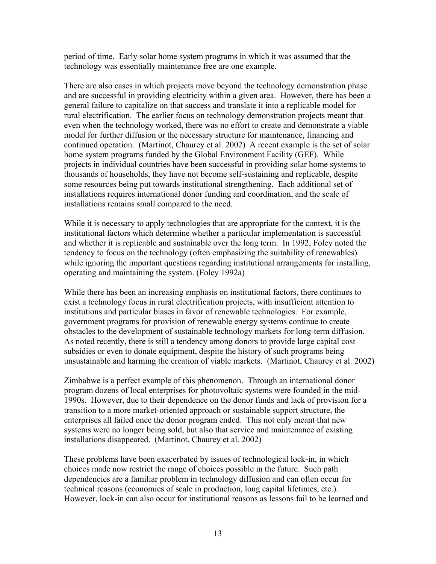period of time. Early solar home system programs in which it was assumed that the technology was essentially maintenance free are one example.

There are also cases in which projects move beyond the technology demonstration phase and are successful in providing electricity within a given area. However, there has been a general failure to capitalize on that success and translate it into a replicable model for rural electrification. The earlier focus on technology demonstration projects meant that even when the technology worked, there was no effort to create and demonstrate a viable model for further diffusion or the necessary structure for maintenance, financing and continued operation. (Martinot, Chaurey et al. 2002) A recent example is the set of solar home system programs funded by the Global Environment Facility (GEF). While projects in individual countries have been successful in providing solar home systems to thousands of households, they have not become self-sustaining and replicable, despite some resources being put towards institutional strengthening. Each additional set of installations requires international donor funding and coordination, and the scale of installations remains small compared to the need.

While it is necessary to apply technologies that are appropriate for the context, it is the institutional factors which determine whether a particular implementation is successful and whether it is replicable and sustainable over the long term. In 1992, Foley noted the tendency to focus on the technology (often emphasizing the suitability of renewables) while ignoring the important questions regarding institutional arrangements for installing, operating and maintaining the system. (Foley 1992a)

While there has been an increasing emphasis on institutional factors, there continues to exist a technology focus in rural electrification projects, with insufficient attention to institutions and particular biases in favor of renewable technologies. For example, government programs for provision of renewable energy systems continue to create obstacles to the development of sustainable technology markets for long-term diffusion. As noted recently, there is still a tendency among donors to provide large capital cost subsidies or even to donate equipment, despite the history of such programs being unsustainable and harming the creation of viable markets. (Martinot, Chaurey et al. 2002)

Zimbabwe is a perfect example of this phenomenon. Through an international donor program dozens of local enterprises for photovoltaic systems were founded in the mid-1990s. However, due to their dependence on the donor funds and lack of provision for a transition to a more market-oriented approach or sustainable support structure, the enterprises all failed once the donor program ended. This not only meant that new systems were no longer being sold, but also that service and maintenance of existing installations disappeared. (Martinot, Chaurey et al. 2002)

These problems have been exacerbated by issues of technological lock-in, in which choices made now restrict the range of choices possible in the future. Such path dependencies are a familiar problem in technology diffusion and can often occur for technical reasons (economies of scale in production, long capital lifetimes, etc.). However, lock-in can also occur for institutional reasons as lessons fail to be learned and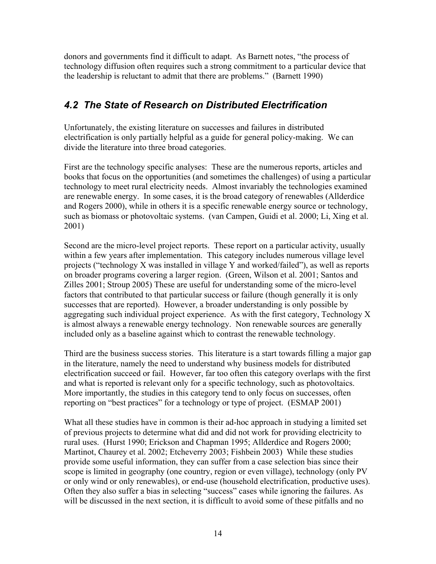donors and governments find it difficult to adapt. As Barnett notes, "the process of technology diffusion often requires such a strong commitment to a particular device that the leadership is reluctant to admit that there are problems." (Barnett 1990)

### *4.2 The State of Research on Distributed Electrification*

Unfortunately, the existing literature on successes and failures in distributed electrification is only partially helpful as a guide for general policy-making. We can divide the literature into three broad categories.

First are the technology specific analyses: These are the numerous reports, articles and books that focus on the opportunities (and sometimes the challenges) of using a particular technology to meet rural electricity needs. Almost invariably the technologies examined are renewable energy. In some cases, it is the broad category of renewables (Allderdice and Rogers 2000), while in others it is a specific renewable energy source or technology, such as biomass or photovoltaic systems. (van Campen, Guidi et al. 2000; Li, Xing et al. 2001)

Second are the micro-level project reports. These report on a particular activity, usually within a few years after implementation. This category includes numerous village level projects ("technology X was installed in village Y and worked/failed"), as well as reports on broader programs covering a larger region. (Green, Wilson et al. 2001; Santos and Zilles 2001; Stroup 2005) These are useful for understanding some of the micro-level factors that contributed to that particular success or failure (though generally it is only successes that are reported). However, a broader understanding is only possible by aggregating such individual project experience. As with the first category, Technology X is almost always a renewable energy technology. Non renewable sources are generally included only as a baseline against which to contrast the renewable technology.

Third are the business success stories. This literature is a start towards filling a major gap in the literature, namely the need to understand why business models for distributed electrification succeed or fail. However, far too often this category overlaps with the first and what is reported is relevant only for a specific technology, such as photovoltaics. More importantly, the studies in this category tend to only focus on successes, often reporting on "best practices" for a technology or type of project. (ESMAP 2001)

What all these studies have in common is their ad-hoc approach in studying a limited set of previous projects to determine what did and did not work for providing electricity to rural uses. (Hurst 1990; Erickson and Chapman 1995; Allderdice and Rogers 2000; Martinot, Chaurey et al. 2002; Etcheverry 2003; Fishbein 2003) While these studies provide some useful information, they can suffer from a case selection bias since their scope is limited in geography (one country, region or even village), technology (only PV or only wind or only renewables), or end-use (household electrification, productive uses). Often they also suffer a bias in selecting "success" cases while ignoring the failures. As will be discussed in the next section, it is difficult to avoid some of these pitfalls and no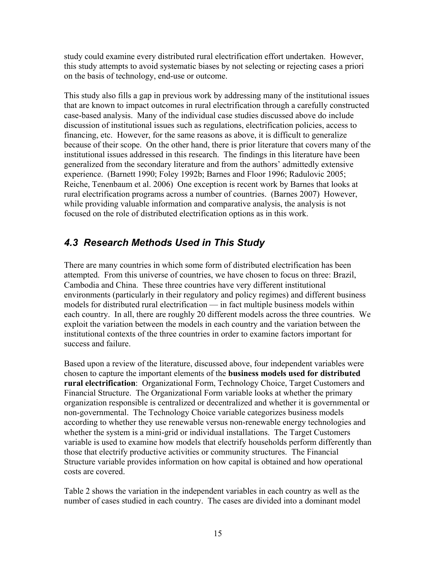study could examine every distributed rural electrification effort undertaken. However, this study attempts to avoid systematic biases by not selecting or rejecting cases a priori on the basis of technology, end-use or outcome.

This study also fills a gap in previous work by addressing many of the institutional issues that are known to impact outcomes in rural electrification through a carefully constructed case-based analysis. Many of the individual case studies discussed above do include discussion of institutional issues such as regulations, electrification policies, access to financing, etc. However, for the same reasons as above, it is difficult to generalize because of their scope. On the other hand, there is prior literature that covers many of the institutional issues addressed in this research. The findings in this literature have been generalized from the secondary literature and from the authors' admittedly extensive experience. (Barnett 1990; Foley 1992b; Barnes and Floor 1996; Radulovic 2005; Reiche, Tenenbaum et al. 2006) One exception is recent work by Barnes that looks at rural electrification programs across a number of countries. (Barnes 2007) However, while providing valuable information and comparative analysis, the analysis is not focused on the role of distributed electrification options as in this work.

### *4.3 Research Methods Used in This Study*

There are many countries in which some form of distributed electrification has been attempted. From this universe of countries, we have chosen to focus on three: Brazil, Cambodia and China. These three countries have very different institutional environments (particularly in their regulatory and policy regimes) and different business models for distributed rural electrification — in fact multiple business models within each country. In all, there are roughly 20 different models across the three countries. We exploit the variation between the models in each country and the variation between the institutional contexts of the three countries in order to examine factors important for success and failure.

Based upon a review of the literature, discussed above, four independent variables were chosen to capture the important elements of the **business models used for distributed rural electrification**: Organizational Form, Technology Choice, Target Customers and Financial Structure. The Organizational Form variable looks at whether the primary organization responsible is centralized or decentralized and whether it is governmental or non-governmental. The Technology Choice variable categorizes business models according to whether they use renewable versus non-renewable energy technologies and whether the system is a mini-grid or individual installations. The Target Customers variable is used to examine how models that electrify households perform differently than those that electrify productive activities or community structures. The Financial Structure variable provides information on how capital is obtained and how operational costs are covered.

Table 2 shows the variation in the independent variables in each country as well as the number of cases studied in each country. The cases are divided into a dominant model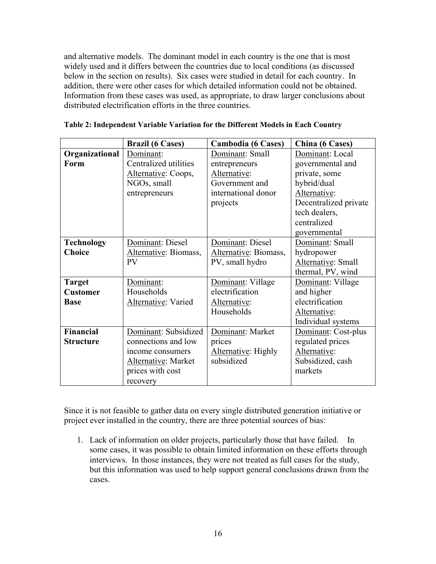and alternative models. The dominant model in each country is the one that is most widely used and it differs between the countries due to local conditions (as discussed below in the section on results). Six cases were studied in detail for each country. In addition, there were other cases for which detailed information could not be obtained. Information from these cases was used, as appropriate, to draw larger conclusions about distributed electrification efforts in the three countries.

|                   | <b>Brazil (6 Cases)</b> | Cambodia (6 Cases)    | China (6 Cases)       |
|-------------------|-------------------------|-----------------------|-----------------------|
| Organizational    | Dominant:               | Dominant: Small       | Dominant: Local       |
| Form              | Centralized utilities   | entrepreneurs         | governmental and      |
|                   | Alternative: Coops,     | Alternative:          | private, some         |
|                   | NGOs, small             | Government and        | hybrid/dual           |
|                   | entrepreneurs           | international donor   | Alternative:          |
|                   |                         | projects              | Decentralized private |
|                   |                         |                       | tech dealers,         |
|                   |                         |                       | centralized           |
|                   |                         |                       | governmental          |
| <b>Technology</b> | Dominant: Diesel        | Dominant: Diesel      | Dominant: Small       |
| <b>Choice</b>     | Alternative: Biomass,   | Alternative: Biomass, | hydropower            |
|                   | PV                      | PV, small hydro       | Alternative: Small    |
|                   |                         |                       | thermal, PV, wind     |
| <b>Target</b>     | Dominant:               | Dominant: Village     | Dominant: Village     |
| <b>Customer</b>   | Households              | electrification       | and higher            |
| <b>Base</b>       | Alternative: Varied     | Alternative:          | electrification       |
|                   |                         | Households            | Alternative:          |
|                   |                         |                       | Individual systems    |
| <b>Financial</b>  | Dominant: Subsidized    | Dominant: Market      | Dominant: Cost-plus   |
| <b>Structure</b>  | connections and low     | prices                | regulated prices      |
|                   | income consumers        | Alternative: Highly   | Alternative:          |
|                   | Alternative: Market     | subsidized            | Subsidized, cash      |
|                   | prices with cost        |                       | markets               |
|                   | recovery                |                       |                       |

| Table 2: Independent Variable Variation for the Different Models in Each Country |  |  |
|----------------------------------------------------------------------------------|--|--|

Since it is not feasible to gather data on every single distributed generation initiative or project ever installed in the country, there are three potential sources of bias:

1. Lack of information on older projects, particularly those that have failed. In some cases, it was possible to obtain limited information on these efforts through interviews. In those instances, they were not treated as full cases for the study, but this information was used to help support general conclusions drawn from the cases.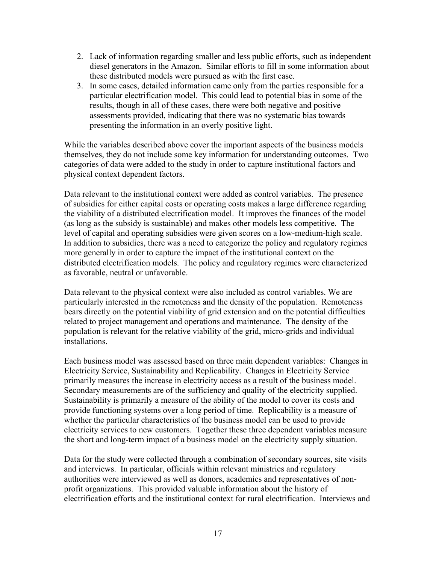- 2. Lack of information regarding smaller and less public efforts, such as independent diesel generators in the Amazon. Similar efforts to fill in some information about these distributed models were pursued as with the first case.
- 3. In some cases, detailed information came only from the parties responsible for a particular electrification model. This could lead to potential bias in some of the results, though in all of these cases, there were both negative and positive assessments provided, indicating that there was no systematic bias towards presenting the information in an overly positive light.

While the variables described above cover the important aspects of the business models themselves, they do not include some key information for understanding outcomes. Two categories of data were added to the study in order to capture institutional factors and physical context dependent factors.

Data relevant to the institutional context were added as control variables. The presence of subsidies for either capital costs or operating costs makes a large difference regarding the viability of a distributed electrification model. It improves the finances of the model (as long as the subsidy is sustainable) and makes other models less competitive. The level of capital and operating subsidies were given scores on a low-medium-high scale. In addition to subsidies, there was a need to categorize the policy and regulatory regimes more generally in order to capture the impact of the institutional context on the distributed electrification models. The policy and regulatory regimes were characterized as favorable, neutral or unfavorable.

Data relevant to the physical context were also included as control variables. We are particularly interested in the remoteness and the density of the population. Remoteness bears directly on the potential viability of grid extension and on the potential difficulties related to project management and operations and maintenance. The density of the population is relevant for the relative viability of the grid, micro-grids and individual installations.

Each business model was assessed based on three main dependent variables: Changes in Electricity Service, Sustainability and Replicability. Changes in Electricity Service primarily measures the increase in electricity access as a result of the business model. Secondary measurements are of the sufficiency and quality of the electricity supplied. Sustainability is primarily a measure of the ability of the model to cover its costs and provide functioning systems over a long period of time. Replicability is a measure of whether the particular characteristics of the business model can be used to provide electricity services to new customers. Together these three dependent variables measure the short and long-term impact of a business model on the electricity supply situation.

Data for the study were collected through a combination of secondary sources, site visits and interviews. In particular, officials within relevant ministries and regulatory authorities were interviewed as well as donors, academics and representatives of nonprofit organizations. This provided valuable information about the history of electrification efforts and the institutional context for rural electrification. Interviews and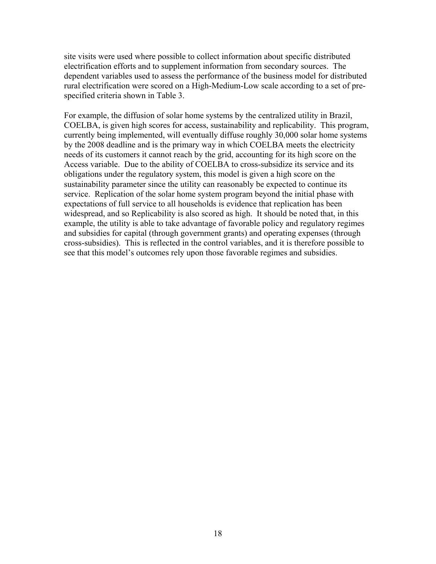site visits were used where possible to collect information about specific distributed electrification efforts and to supplement information from secondary sources. The dependent variables used to assess the performance of the business model for distributed rural electrification were scored on a High-Medium-Low scale according to a set of prespecified criteria shown in Table 3.

For example, the diffusion of solar home systems by the centralized utility in Brazil, COELBA, is given high scores for access, sustainability and replicability. This program, currently being implemented, will eventually diffuse roughly 30,000 solar home systems by the 2008 deadline and is the primary way in which COELBA meets the electricity needs of its customers it cannot reach by the grid, accounting for its high score on the Access variable. Due to the ability of COELBA to cross-subsidize its service and its obligations under the regulatory system, this model is given a high score on the sustainability parameter since the utility can reasonably be expected to continue its service. Replication of the solar home system program beyond the initial phase with expectations of full service to all households is evidence that replication has been widespread, and so Replicability is also scored as high. It should be noted that, in this example, the utility is able to take advantage of favorable policy and regulatory regimes and subsidies for capital (through government grants) and operating expenses (through cross-subsidies). This is reflected in the control variables, and it is therefore possible to see that this model's outcomes rely upon those favorable regimes and subsidies.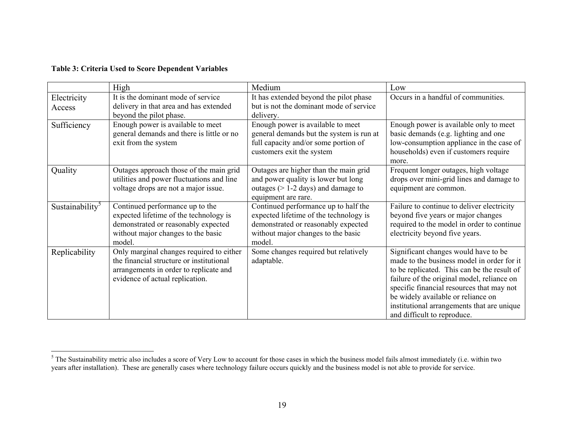#### **Table 3: Criteria Used to Score Dependent Variables**

|                             | High                                                                                                                                                              | Medium                                                                                                                                                                | Low                                                                                                                                                                                                                                                                                                                                             |
|-----------------------------|-------------------------------------------------------------------------------------------------------------------------------------------------------------------|-----------------------------------------------------------------------------------------------------------------------------------------------------------------------|-------------------------------------------------------------------------------------------------------------------------------------------------------------------------------------------------------------------------------------------------------------------------------------------------------------------------------------------------|
| Electricity<br>Access       | It is the dominant mode of service<br>delivery in that area and has extended                                                                                      | It has extended beyond the pilot phase<br>but is not the dominant mode of service                                                                                     | Occurs in a handful of communities.                                                                                                                                                                                                                                                                                                             |
|                             | beyond the pilot phase.                                                                                                                                           | delivery.                                                                                                                                                             |                                                                                                                                                                                                                                                                                                                                                 |
| Sufficiency                 | Enough power is available to meet<br>general demands and there is little or no<br>exit from the system                                                            | Enough power is available to meet<br>general demands but the system is run at<br>full capacity and/or some portion of<br>customers exit the system                    | Enough power is available only to meet<br>basic demands (e.g. lighting and one<br>low-consumption appliance in the case of<br>households) even if customers require<br>more.                                                                                                                                                                    |
| Quality                     | Outages approach those of the main grid<br>utilities and power fluctuations and line<br>voltage drops are not a major issue.                                      | Outages are higher than the main grid<br>and power quality is lower but long<br>outages ( $> 1-2$ days) and damage to<br>equipment are rare.                          | Frequent longer outages, high voltage<br>drops over mini-grid lines and damage to<br>equipment are common.                                                                                                                                                                                                                                      |
| Sustainability <sup>5</sup> | Continued performance up to the<br>expected lifetime of the technology is<br>demonstrated or reasonably expected<br>without major changes to the basic<br>model.  | Continued performance up to half the<br>expected lifetime of the technology is<br>demonstrated or reasonably expected<br>without major changes to the basic<br>model. | Failure to continue to deliver electricity<br>beyond five years or major changes<br>required to the model in order to continue<br>electricity beyond five years.                                                                                                                                                                                |
| Replicability               | Only marginal changes required to either<br>the financial structure or institutional<br>arrangements in order to replicate and<br>evidence of actual replication. | Some changes required but relatively<br>adaptable.                                                                                                                    | Significant changes would have to be<br>made to the business model in order for it<br>to be replicated. This can be the result of<br>failure of the original model, reliance on<br>specific financial resources that may not<br>be widely available or reliance on<br>institutional arrangements that are unique<br>and difficult to reproduce. |

 $<sup>5</sup>$  The Sustainability metric also includes a score of Very Low to account for those cases in which the business model fails almost immediately (i.e. within two</sup> years after installation). These are generally cases where technology failure occurs quickly and the business model is not able to provide for service.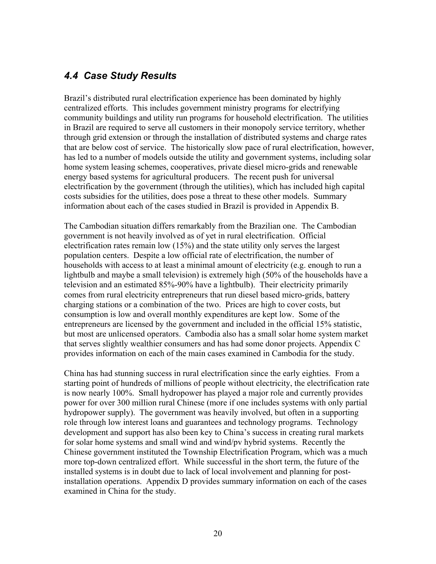### *4.4 Case Study Results*

Brazil's distributed rural electrification experience has been dominated by highly centralized efforts. This includes government ministry programs for electrifying community buildings and utility run programs for household electrification. The utilities in Brazil are required to serve all customers in their monopoly service territory, whether through grid extension or through the installation of distributed systems and charge rates that are below cost of service. The historically slow pace of rural electrification, however, has led to a number of models outside the utility and government systems, including solar home system leasing schemes, cooperatives, private diesel micro-grids and renewable energy based systems for agricultural producers. The recent push for universal electrification by the government (through the utilities), which has included high capital costs subsidies for the utilities, does pose a threat to these other models. Summary information about each of the cases studied in Brazil is provided in Appendix B.

The Cambodian situation differs remarkably from the Brazilian one. The Cambodian government is not heavily involved as of yet in rural electrification. Official electrification rates remain low (15%) and the state utility only serves the largest population centers. Despite a low official rate of electrification, the number of households with access to at least a minimal amount of electricity (e.g. enough to run a lightbulb and maybe a small television) is extremely high (50% of the households have a television and an estimated 85%-90% have a lightbulb). Their electricity primarily comes from rural electricity entrepreneurs that run diesel based micro-grids, battery charging stations or a combination of the two. Prices are high to cover costs, but consumption is low and overall monthly expenditures are kept low. Some of the entrepreneurs are licensed by the government and included in the official 15% statistic, but most are unlicensed operators. Cambodia also has a small solar home system market that serves slightly wealthier consumers and has had some donor projects. Appendix C provides information on each of the main cases examined in Cambodia for the study.

China has had stunning success in rural electrification since the early eighties. From a starting point of hundreds of millions of people without electricity, the electrification rate is now nearly 100%. Small hydropower has played a major role and currently provides power for over 300 million rural Chinese (more if one includes systems with only partial hydropower supply). The government was heavily involved, but often in a supporting role through low interest loans and guarantees and technology programs. Technology development and support has also been key to China's success in creating rural markets for solar home systems and small wind and wind/pv hybrid systems. Recently the Chinese government instituted the Township Electrification Program, which was a much more top-down centralized effort. While successful in the short term, the future of the installed systems is in doubt due to lack of local involvement and planning for postinstallation operations. Appendix D provides summary information on each of the cases examined in China for the study.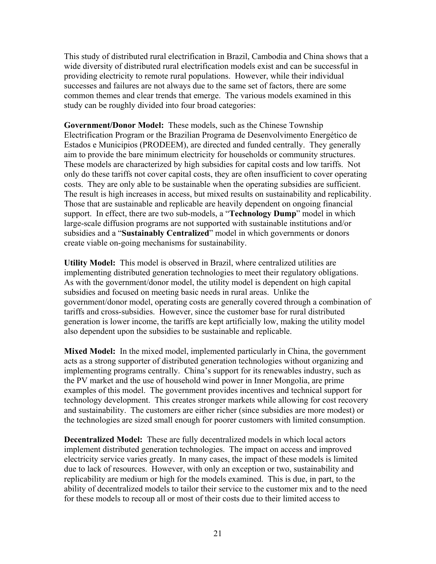This study of distributed rural electrification in Brazil, Cambodia and China shows that a wide diversity of distributed rural electrification models exist and can be successful in providing electricity to remote rural populations. However, while their individual successes and failures are not always due to the same set of factors, there are some common themes and clear trends that emerge. The various models examined in this study can be roughly divided into four broad categories:

**Government/Donor Model:** These models, such as the Chinese Township Electrification Program or the Brazilian Programa de Desenvolvimento Energético de Estados e Municipios (PRODEEM), are directed and funded centrally. They generally aim to provide the bare minimum electricity for households or community structures. These models are characterized by high subsidies for capital costs and low tariffs. Not only do these tariffs not cover capital costs, they are often insufficient to cover operating costs. They are only able to be sustainable when the operating subsidies are sufficient. The result is high increases in access, but mixed results on sustainability and replicability. Those that are sustainable and replicable are heavily dependent on ongoing financial support. In effect, there are two sub-models, a "**Technology Dump**" model in which large-scale diffusion programs are not supported with sustainable institutions and/or subsidies and a "**Sustainably Centralized**" model in which governments or donors create viable on-going mechanisms for sustainability.

**Utility Model:** This model is observed in Brazil, where centralized utilities are implementing distributed generation technologies to meet their regulatory obligations. As with the government/donor model, the utility model is dependent on high capital subsidies and focused on meeting basic needs in rural areas. Unlike the government/donor model, operating costs are generally covered through a combination of tariffs and cross-subsidies. However, since the customer base for rural distributed generation is lower income, the tariffs are kept artificially low, making the utility model also dependent upon the subsidies to be sustainable and replicable.

**Mixed Model:** In the mixed model, implemented particularly in China, the government acts as a strong supporter of distributed generation technologies without organizing and implementing programs centrally. China's support for its renewables industry, such as the PV market and the use of household wind power in Inner Mongolia, are prime examples of this model. The government provides incentives and technical support for technology development. This creates stronger markets while allowing for cost recovery and sustainability. The customers are either richer (since subsidies are more modest) or the technologies are sized small enough for poorer customers with limited consumption.

**Decentralized Model:** These are fully decentralized models in which local actors implement distributed generation technologies. The impact on access and improved electricity service varies greatly. In many cases, the impact of these models is limited due to lack of resources. However, with only an exception or two, sustainability and replicability are medium or high for the models examined. This is due, in part, to the ability of decentralized models to tailor their service to the customer mix and to the need for these models to recoup all or most of their costs due to their limited access to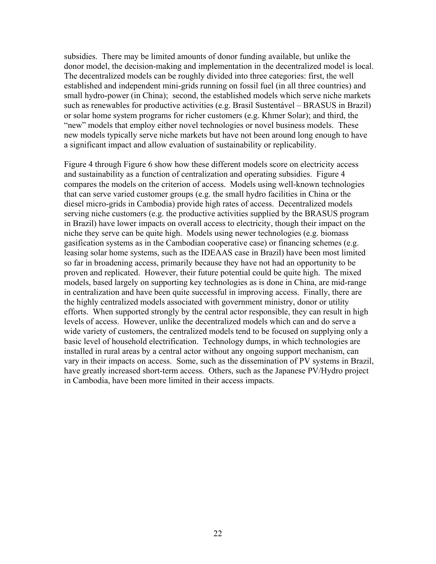subsidies. There may be limited amounts of donor funding available, but unlike the donor model, the decision-making and implementation in the decentralized model is local. The decentralized models can be roughly divided into three categories: first, the well established and independent mini-grids running on fossil fuel (in all three countries) and small hydro-power (in China); second, the established models which serve niche markets such as renewables for productive activities (e.g. Brasil Sustentável – BRASUS in Brazil) or solar home system programs for richer customers (e.g. Khmer Solar); and third, the "new" models that employ either novel technologies or novel business models. These new models typically serve niche markets but have not been around long enough to have a significant impact and allow evaluation of sustainability or replicability.

Figure 4 through Figure 6 show how these different models score on electricity access and sustainability as a function of centralization and operating subsidies. Figure 4 compares the models on the criterion of access. Models using well-known technologies that can serve varied customer groups (e.g. the small hydro facilities in China or the diesel micro-grids in Cambodia) provide high rates of access. Decentralized models serving niche customers (e.g. the productive activities supplied by the BRASUS program in Brazil) have lower impacts on overall access to electricity, though their impact on the niche they serve can be quite high. Models using newer technologies (e.g. biomass gasification systems as in the Cambodian cooperative case) or financing schemes (e.g. leasing solar home systems, such as the IDEAAS case in Brazil) have been most limited so far in broadening access, primarily because they have not had an opportunity to be proven and replicated. However, their future potential could be quite high. The mixed models, based largely on supporting key technologies as is done in China, are mid-range in centralization and have been quite successful in improving access. Finally, there are the highly centralized models associated with government ministry, donor or utility efforts. When supported strongly by the central actor responsible, they can result in high levels of access. However, unlike the decentralized models which can and do serve a wide variety of customers, the centralized models tend to be focused on supplying only a basic level of household electrification. Technology dumps, in which technologies are installed in rural areas by a central actor without any ongoing support mechanism, can vary in their impacts on access. Some, such as the dissemination of PV systems in Brazil, have greatly increased short-term access. Others, such as the Japanese PV/Hydro project in Cambodia, have been more limited in their access impacts.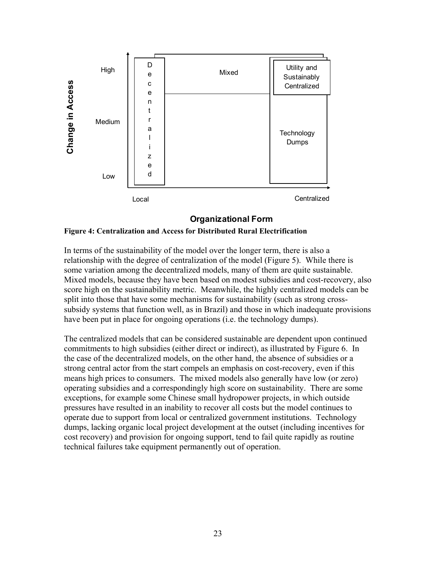

### **Organizational Form**

### **Figure 4: Centralization and Access for Distributed Rural Electrification**

In terms of the sustainability of the model over the longer term, there is also a relationship with the degree of centralization of the model (Figure 5). While there is some variation among the decentralized models, many of them are quite sustainable. Mixed models, because they have been based on modest subsidies and cost-recovery, also score high on the sustainability metric. Meanwhile, the highly centralized models can be split into those that have some mechanisms for sustainability (such as strong crosssubsidy systems that function well, as in Brazil) and those in which inadequate provisions have been put in place for ongoing operations (i.e. the technology dumps).

The centralized models that can be considered sustainable are dependent upon continued commitments to high subsidies (either direct or indirect), as illustrated by Figure 6. In the case of the decentralized models, on the other hand, the absence of subsidies or a strong central actor from the start compels an emphasis on cost-recovery, even if this means high prices to consumers. The mixed models also generally have low (or zero) operating subsidies and a correspondingly high score on sustainability. There are some exceptions, for example some Chinese small hydropower projects, in which outside pressures have resulted in an inability to recover all costs but the model continues to operate due to support from local or centralized government institutions. Technology dumps, lacking organic local project development at the outset (including incentives for cost recovery) and provision for ongoing support, tend to fail quite rapidly as routine technical failures take equipment permanently out of operation.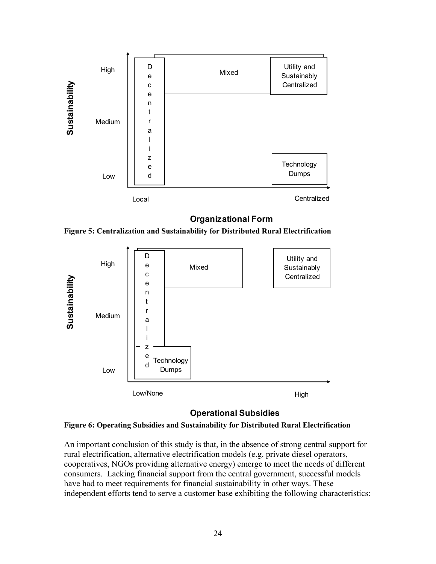

### **Organizational Form**

**Figure 5: Centralization and Sustainability for Distributed Rural Electrification** 



### **Operational Subsidies**

### **Figure 6: Operating Subsidies and Sustainability for Distributed Rural Electrification**

An important conclusion of this study is that, in the absence of strong central support for rural electrification, alternative electrification models (e.g. private diesel operators, cooperatives, NGOs providing alternative energy) emerge to meet the needs of different consumers. Lacking financial support from the central government, successful models have had to meet requirements for financial sustainability in other ways. These independent efforts tend to serve a customer base exhibiting the following characteristics: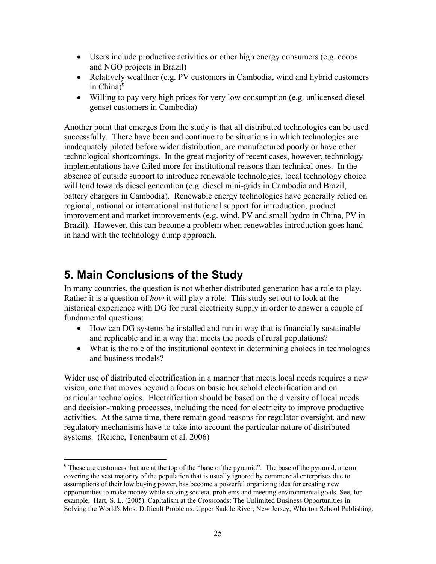- Users include productive activities or other high energy consumers (e.g. coops and NGO projects in Brazil)
- Relatively wealthier (e.g. PV customers in Cambodia, wind and hybrid customers in China $6$
- Willing to pay very high prices for very low consumption (e.g. unlicensed diesel) genset customers in Cambodia)

Another point that emerges from the study is that all distributed technologies can be used successfully. There have been and continue to be situations in which technologies are inadequately piloted before wider distribution, are manufactured poorly or have other technological shortcomings. In the great majority of recent cases, however, technology implementations have failed more for institutional reasons than technical ones. In the absence of outside support to introduce renewable technologies, local technology choice will tend towards diesel generation (e.g. diesel mini-grids in Cambodia and Brazil, battery chargers in Cambodia). Renewable energy technologies have generally relied on regional, national or international institutional support for introduction, product improvement and market improvements (e.g. wind, PV and small hydro in China, PV in Brazil). However, this can become a problem when renewables introduction goes hand in hand with the technology dump approach.

## **5. Main Conclusions of the Study**

In many countries, the question is not whether distributed generation has a role to play. Rather it is a question of *how* it will play a role. This study set out to look at the historical experience with DG for rural electricity supply in order to answer a couple of fundamental questions:

- How can DG systems be installed and run in way that is financially sustainable and replicable and in a way that meets the needs of rural populations?
- What is the role of the institutional context in determining choices in technologies and business models?

Wider use of distributed electrification in a manner that meets local needs requires a new vision, one that moves beyond a focus on basic household electrification and on particular technologies. Electrification should be based on the diversity of local needs and decision-making processes, including the need for electricity to improve productive activities. At the same time, there remain good reasons for regulator oversight, and new regulatory mechanisms have to take into account the particular nature of distributed systems. (Reiche, Tenenbaum et al. 2006)

 $\overline{a}$  $6$  These are customers that are at the top of the "base of the pyramid". The base of the pyramid, a term covering the vast majority of the population that is usually ignored by commercial enterprises due to assumptions of their low buying power, has become a powerful organizing idea for creating new opportunities to make money while solving societal problems and meeting environmental goals. See, for example, Hart, S. L. (2005). Capitalism at the Crossroads: The Unlimited Business Opportunities in Solving the World's Most Difficult Problems. Upper Saddle River, New Jersey, Wharton School Publishing.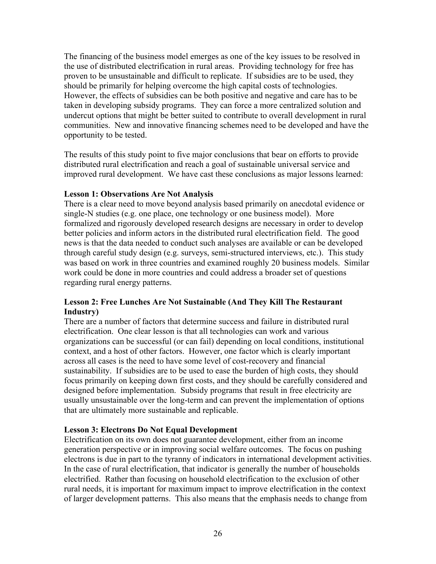The financing of the business model emerges as one of the key issues to be resolved in the use of distributed electrification in rural areas. Providing technology for free has proven to be unsustainable and difficult to replicate. If subsidies are to be used, they should be primarily for helping overcome the high capital costs of technologies. However, the effects of subsidies can be both positive and negative and care has to be taken in developing subsidy programs. They can force a more centralized solution and undercut options that might be better suited to contribute to overall development in rural communities. New and innovative financing schemes need to be developed and have the opportunity to be tested.

The results of this study point to five major conclusions that bear on efforts to provide distributed rural electrification and reach a goal of sustainable universal service and improved rural development. We have cast these conclusions as major lessons learned:

### **Lesson 1: Observations Are Not Analysis**

There is a clear need to move beyond analysis based primarily on anecdotal evidence or single-N studies (e.g. one place, one technology or one business model). More formalized and rigorously developed research designs are necessary in order to develop better policies and inform actors in the distributed rural electrification field. The good news is that the data needed to conduct such analyses are available or can be developed through careful study design (e.g. surveys, semi-structured interviews, etc.). This study was based on work in three countries and examined roughly 20 business models. Similar work could be done in more countries and could address a broader set of questions regarding rural energy patterns.

### **Lesson 2: Free Lunches Are Not Sustainable (And They Kill The Restaurant Industry)**

There are a number of factors that determine success and failure in distributed rural electrification. One clear lesson is that all technologies can work and various organizations can be successful (or can fail) depending on local conditions, institutional context, and a host of other factors. However, one factor which is clearly important across all cases is the need to have some level of cost-recovery and financial sustainability. If subsidies are to be used to ease the burden of high costs, they should focus primarily on keeping down first costs, and they should be carefully considered and designed before implementation. Subsidy programs that result in free electricity are usually unsustainable over the long-term and can prevent the implementation of options that are ultimately more sustainable and replicable.

### **Lesson 3: Electrons Do Not Equal Development**

Electrification on its own does not guarantee development, either from an income generation perspective or in improving social welfare outcomes. The focus on pushing electrons is due in part to the tyranny of indicators in international development activities. In the case of rural electrification, that indicator is generally the number of households electrified. Rather than focusing on household electrification to the exclusion of other rural needs, it is important for maximum impact to improve electrification in the context of larger development patterns. This also means that the emphasis needs to change from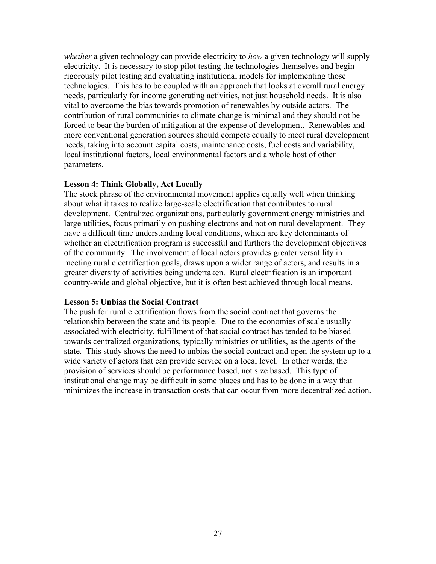*whether* a given technology can provide electricity to *how* a given technology will supply electricity. It is necessary to stop pilot testing the technologies themselves and begin rigorously pilot testing and evaluating institutional models for implementing those technologies. This has to be coupled with an approach that looks at overall rural energy needs, particularly for income generating activities, not just household needs. It is also vital to overcome the bias towards promotion of renewables by outside actors. The contribution of rural communities to climate change is minimal and they should not be forced to bear the burden of mitigation at the expense of development. Renewables and more conventional generation sources should compete equally to meet rural development needs, taking into account capital costs, maintenance costs, fuel costs and variability, local institutional factors, local environmental factors and a whole host of other parameters.

### **Lesson 4: Think Globally, Act Locally**

The stock phrase of the environmental movement applies equally well when thinking about what it takes to realize large-scale electrification that contributes to rural development. Centralized organizations, particularly government energy ministries and large utilities, focus primarily on pushing electrons and not on rural development. They have a difficult time understanding local conditions, which are key determinants of whether an electrification program is successful and furthers the development objectives of the community. The involvement of local actors provides greater versatility in meeting rural electrification goals, draws upon a wider range of actors, and results in a greater diversity of activities being undertaken. Rural electrification is an important country-wide and global objective, but it is often best achieved through local means.

### **Lesson 5: Unbias the Social Contract**

The push for rural electrification flows from the social contract that governs the relationship between the state and its people. Due to the economies of scale usually associated with electricity, fulfillment of that social contract has tended to be biased towards centralized organizations, typically ministries or utilities, as the agents of the state. This study shows the need to unbias the social contract and open the system up to a wide variety of actors that can provide service on a local level. In other words, the provision of services should be performance based, not size based. This type of institutional change may be difficult in some places and has to be done in a way that minimizes the increase in transaction costs that can occur from more decentralized action.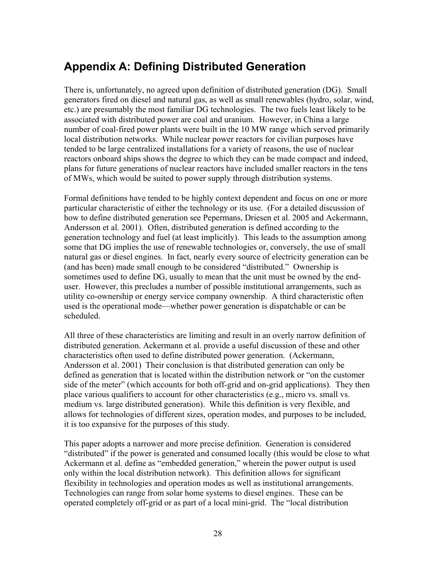## **Appendix A: Defining Distributed Generation**

There is, unfortunately, no agreed upon definition of distributed generation (DG). Small generators fired on diesel and natural gas, as well as small renewables (hydro, solar, wind, etc.) are presumably the most familiar DG technologies. The two fuels least likely to be associated with distributed power are coal and uranium. However, in China a large number of coal-fired power plants were built in the 10 MW range which served primarily local distribution networks. While nuclear power reactors for civilian purposes have tended to be large centralized installations for a variety of reasons, the use of nuclear reactors onboard ships shows the degree to which they can be made compact and indeed, plans for future generations of nuclear reactors have included smaller reactors in the tens of MWs, which would be suited to power supply through distribution systems.

Formal definitions have tended to be highly context dependent and focus on one or more particular characteristic of either the technology or its use. (For a detailed discussion of how to define distributed generation see Pepermans, Driesen et al. 2005 and Ackermann, Andersson et al. 2001). Often, distributed generation is defined according to the generation technology and fuel (at least implicitly). This leads to the assumption among some that DG implies the use of renewable technologies or, conversely, the use of small natural gas or diesel engines. In fact, nearly every source of electricity generation can be (and has been) made small enough to be considered "distributed." Ownership is sometimes used to define DG, usually to mean that the unit must be owned by the enduser. However, this precludes a number of possible institutional arrangements, such as utility co-ownership or energy service company ownership. A third characteristic often used is the operational mode—whether power generation is dispatchable or can be scheduled.

All three of these characteristics are limiting and result in an overly narrow definition of distributed generation. Ackermann et al. provide a useful discussion of these and other characteristics often used to define distributed power generation. (Ackermann, Andersson et al. 2001) Their conclusion is that distributed generation can only be defined as generation that is located within the distribution network or "on the customer side of the meter" (which accounts for both off-grid and on-grid applications). They then place various qualifiers to account for other characteristics (e.g., micro vs. small vs. medium vs. large distributed generation). While this definition is very flexible, and allows for technologies of different sizes, operation modes, and purposes to be included, it is too expansive for the purposes of this study.

This paper adopts a narrower and more precise definition. Generation is considered "distributed" if the power is generated and consumed locally (this would be close to what Ackermann et al. define as "embedded generation," wherein the power output is used only within the local distribution network). This definition allows for significant flexibility in technologies and operation modes as well as institutional arrangements. Technologies can range from solar home systems to diesel engines. These can be operated completely off-grid or as part of a local mini-grid. The "local distribution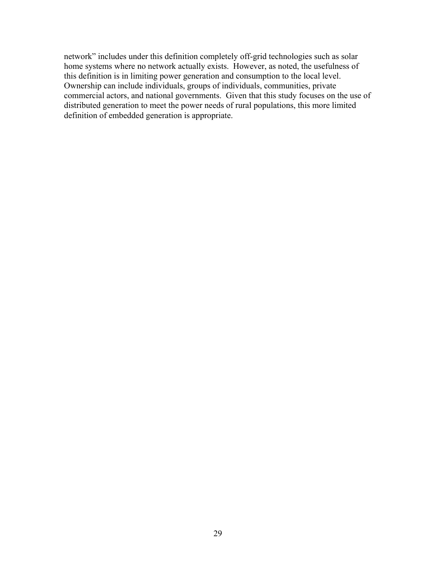network" includes under this definition completely off-grid technologies such as solar home systems where no network actually exists. However, as noted, the usefulness of this definition is in limiting power generation and consumption to the local level. Ownership can include individuals, groups of individuals, communities, private commercial actors, and national governments. Given that this study focuses on the use of distributed generation to meet the power needs of rural populations, this more limited definition of embedded generation is appropriate.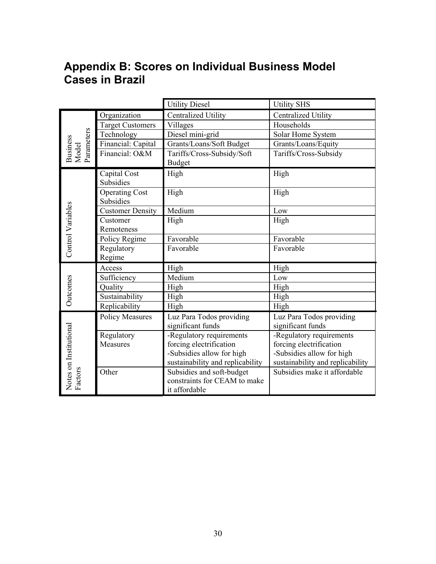## **Appendix B: Scores on Individual Business Model Cases in Brazil**

|                                        |                         | <b>Utility Diesel</b>            | <b>Utility SHS</b>               |
|----------------------------------------|-------------------------|----------------------------------|----------------------------------|
|                                        | Organization            | <b>Centralized Utility</b>       | <b>Centralized Utility</b>       |
|                                        | <b>Target Customers</b> | Villages                         | Households                       |
|                                        | Technology              | Diesel mini-grid                 | Solar Home System                |
|                                        | Financial: Capital      | Grants/Loans/Soft Budget         | Grants/Loans/Equity              |
| Parameters<br><b>Business</b><br>Model | Financial: O&M          | Tariffs/Cross-Subsidy/Soft       | Tariffs/Cross-Subsidy            |
|                                        |                         | <b>Budget</b>                    |                                  |
|                                        | Capital Cost            | High                             | High                             |
|                                        | Subsidies               |                                  |                                  |
|                                        | <b>Operating Cost</b>   | High                             | High                             |
|                                        | Subsidies               |                                  |                                  |
|                                        | <b>Customer Density</b> | Medium                           | Low                              |
| <b>Control Variables</b>               | Customer                | High                             | High                             |
|                                        | Remoteness              |                                  |                                  |
|                                        | Policy Regime           | Favorable                        | Favorable                        |
|                                        | Regulatory<br>Regime    | Favorable                        | Favorable                        |
|                                        | Access                  | High                             | High                             |
|                                        | Sufficiency             | Medium                           | Low                              |
|                                        | Quality                 | High                             | High                             |
| Outcomes                               | Sustainability          | High                             | High                             |
|                                        | Replicability           | High                             | High                             |
|                                        | <b>Policy Measures</b>  | Luz Para Todos providing         | Luz Para Todos providing         |
|                                        |                         | significant funds                | significant funds                |
|                                        | Regulatory              | -Regulatory requirements         | -Regulatory requirements         |
|                                        | Measures                | forcing electrification          | forcing electrification          |
|                                        |                         | -Subsidies allow for high        | -Subsidies allow for high        |
|                                        |                         | sustainability and replicability | sustainability and replicability |
|                                        | Other                   | Subsidies and soft-budget        | Subsidies make it affordable     |
| Notes on Institutional<br>Factors      |                         | constraints for CEAM to make     |                                  |
|                                        |                         | it affordable                    |                                  |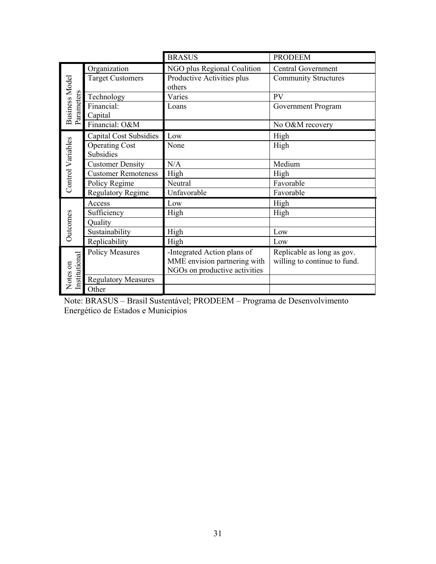|                                     |                            | <b>BRASUS</b>                 | <b>PRODEEM</b>               |
|-------------------------------------|----------------------------|-------------------------------|------------------------------|
|                                     | Organization               | NGO plus Regional Coalition   | <b>Central Government</b>    |
|                                     | <b>Target Customers</b>    | Productive Activities plus    | <b>Community Structures</b>  |
|                                     |                            | others                        |                              |
| <b>Business Model</b><br>Parameters | Technology                 | Varies                        | <b>PV</b>                    |
|                                     | Financial:                 | Loans                         | Government Program           |
|                                     | Capital                    |                               |                              |
|                                     | Financial: O&M             |                               | No O&M recovery              |
|                                     | Capital Cost Subsidies     | Low                           | High                         |
| Control Variables                   | <b>Operating Cost</b>      | None                          | High                         |
|                                     | Subsidies                  |                               |                              |
|                                     | <b>Customer Density</b>    | N/A                           | Medium                       |
|                                     | <b>Customer Remoteness</b> | High                          | High                         |
|                                     | Policy Regime              | Neutral                       | Favorable                    |
|                                     | <b>Regulatory Regime</b>   | Unfavorable                   | Favorable                    |
|                                     | Access                     | Low                           | High                         |
|                                     | Sufficiency                | High                          | High                         |
|                                     | Quality                    |                               |                              |
| Outcomes                            | Sustainability             | High                          | Low                          |
|                                     | Replicability              | High                          | Low                          |
|                                     | <b>Policy Measures</b>     | -Integrated Action plans of   | Replicable as long as gov.   |
|                                     |                            | MME envision partnering with  | willing to continue to fund. |
|                                     |                            | NGOs on productive activities |                              |
| Institutional<br>Notes on           | <b>Regulatory Measures</b> |                               |                              |
|                                     | Other                      |                               |                              |

Note: BRASUS – Brasil Sustentável; PRODEEM – Programa de Desenvolvimento Energético de Estados e Municipios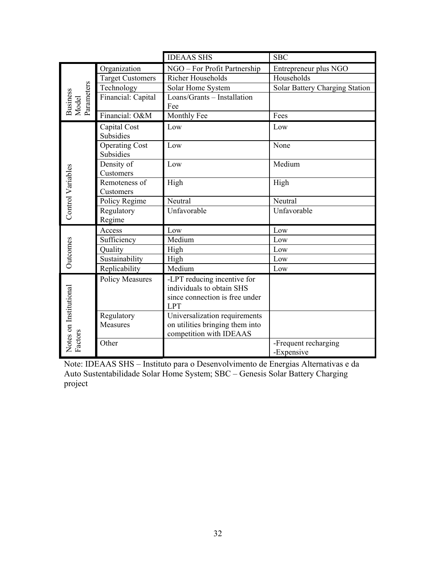|                                        |                         | <b>IDEAAS SHS</b>                                                | <b>SBC</b>                     |
|----------------------------------------|-------------------------|------------------------------------------------------------------|--------------------------------|
|                                        | Organization            | NGO - For Profit Partnership                                     | Entrepreneur plus NGO          |
|                                        | <b>Target Customers</b> | Richer Households                                                | Households                     |
|                                        | Technology              | Solar Home System                                                | Solar Battery Charging Station |
|                                        | Financial: Capital      | Loans/Grants - Installation                                      |                                |
| Model<br>Parameters<br><b>Business</b> |                         | Fee                                                              |                                |
|                                        | Financial: O&M          | Monthly Fee                                                      | Fees                           |
|                                        | Capital Cost            | Low                                                              | Low                            |
|                                        | Subsidies               |                                                                  |                                |
|                                        | <b>Operating Cost</b>   | Low                                                              | None                           |
|                                        | Subsidies               |                                                                  |                                |
|                                        | Density of              | Low                                                              | Medium                         |
|                                        | Customers               |                                                                  |                                |
| Control Variables                      | Remoteness of           | High                                                             | High                           |
|                                        | Customers               |                                                                  |                                |
|                                        | Policy Regime           | Neutral                                                          | Neutral                        |
|                                        | Regulatory              | Unfavorable                                                      | Unfavorable                    |
|                                        | Regime                  |                                                                  |                                |
|                                        | Access                  | Low                                                              | Low                            |
|                                        | Sufficiency             | Medium                                                           | Low                            |
|                                        | Quality                 | High                                                             | Low                            |
| Outcomes                               | Sustainability          | High<br>Medium                                                   | Low                            |
|                                        | Replicability           |                                                                  | Low                            |
|                                        | <b>Policy Measures</b>  | -LPT reducing incentive for                                      |                                |
|                                        |                         | individuals to obtain SHS                                        |                                |
|                                        |                         | since connection is free under<br><b>LPT</b>                     |                                |
|                                        |                         |                                                                  |                                |
|                                        | Regulatory<br>Measures  | Universalization requirements<br>on utilities bringing them into |                                |
|                                        |                         | competition with IDEAAS                                          |                                |
| Notes on Institutional<br>Factors      | Other                   |                                                                  | -Frequent recharging           |
|                                        |                         |                                                                  | -Expensive                     |

Note: IDEAAS SHS – Instituto para o Desenvolvimento de Energias Alternativas e da Auto Sustentabilidade Solar Home System; SBC – Genesis Solar Battery Charging project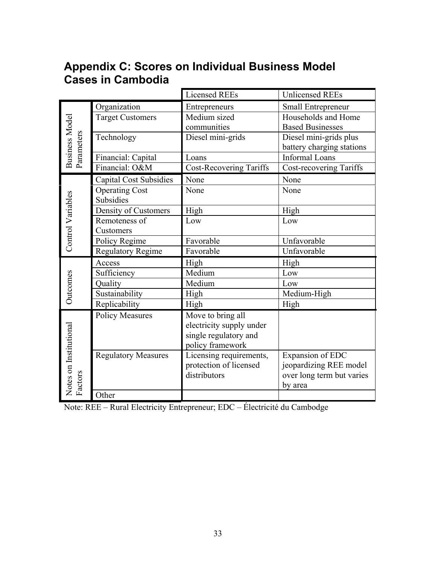## **Appendix C: Scores on Individual Business Model Cases in Cambodia**

|                                     |                               | <b>Licensed REEs</b>           | <b>Unlicensed REEs</b>    |
|-------------------------------------|-------------------------------|--------------------------------|---------------------------|
|                                     | Organization                  | Entrepreneurs                  | Small Entrepreneur        |
|                                     | <b>Target Customers</b>       | Medium sized                   | Households and Home       |
|                                     |                               | communities                    | <b>Based Businesses</b>   |
|                                     | Technology                    | Diesel mini-grids              | Diesel mini-grids plus    |
|                                     |                               |                                | battery charging stations |
| <b>Business Model</b><br>Parameters | Financial: Capital            | Loans                          | Informal Loans            |
|                                     | Financial: O&M                | <b>Cost-Recovering Tariffs</b> | Cost-recovering Tariffs   |
|                                     | <b>Capital Cost Subsidies</b> | None                           | None                      |
|                                     | <b>Operating Cost</b>         | None                           | None                      |
|                                     | Subsidies                     |                                |                           |
| Control Variables                   | Density of Customers          | High                           | High                      |
|                                     | Remoteness of                 | Low                            | Low                       |
|                                     | Customers                     |                                |                           |
|                                     | Policy Regime                 | Favorable                      | Unfavorable               |
|                                     | <b>Regulatory Regime</b>      | Favorable                      | Unfavorable               |
|                                     | Access                        | High                           | High                      |
|                                     | Sufficiency                   | Medium                         | Low                       |
| Outcomes                            | Quality                       | Medium                         | Low                       |
|                                     | Sustainability                | High                           | Medium-High               |
|                                     | Replicability                 | High                           | High                      |
|                                     | <b>Policy Measures</b>        | Move to bring all              |                           |
|                                     |                               | electricity supply under       |                           |
| Notes on Institutional              |                               | single regulatory and          |                           |
|                                     |                               | policy framework               |                           |
|                                     | <b>Regulatory Measures</b>    | Licensing requirements,        | Expansion of EDC          |
|                                     |                               | protection of licensed         | jeopardizing REE model    |
| Factors                             |                               | distributors                   | over long term but varies |
|                                     |                               |                                | by area                   |
|                                     | Other                         |                                |                           |

Note: REE – Rural Electricity Entrepreneur; EDC – Électricité du Cambodge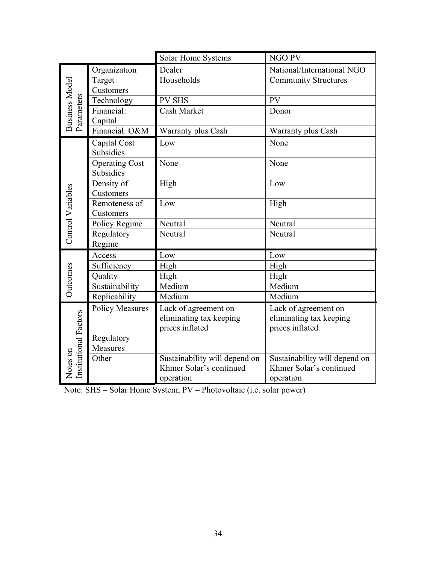|                                     |                         | Solar Home Systems            | NGO PV                        |
|-------------------------------------|-------------------------|-------------------------------|-------------------------------|
|                                     | Organization            | Dealer                        | National/International NGO    |
|                                     | Target                  | Households                    | <b>Community Structures</b>   |
|                                     | Customers               |                               |                               |
|                                     | Technology              | <b>PV SHS</b>                 | <b>PV</b>                     |
|                                     | Financial:              | <b>Cash Market</b>            | Donor                         |
| <b>Business Model</b><br>Parameters | Capital                 |                               |                               |
|                                     | Financial: O&M          | Warranty plus Cash            | Warranty plus Cash            |
|                                     | Capital Cost            | Low                           | None                          |
|                                     | Subsidies               |                               |                               |
|                                     | <b>Operating Cost</b>   | None                          | None                          |
|                                     | <b>Subsidies</b>        |                               |                               |
|                                     | Density of<br>Customers | High                          | Low                           |
|                                     | Remoteness of           | Low                           | High                          |
|                                     | Customers               |                               |                               |
| Control Variables                   | Policy Regime           | Neutral                       | Neutral                       |
|                                     | Regulatory              | Neutral                       | Neutral                       |
|                                     | Regime                  |                               |                               |
|                                     | Access                  | Low                           | Low                           |
|                                     | Sufficiency             | High                          | High                          |
| Outcomes                            | Quality                 | High                          | High                          |
|                                     | Sustainability          | Medium                        | Medium                        |
|                                     | Replicability           | Medium                        | Medium                        |
|                                     | <b>Policy Measures</b>  | Lack of agreement on          | Lack of agreement on          |
|                                     |                         | eliminating tax keeping       | eliminating tax keeping       |
|                                     |                         | prices inflated               | prices inflated               |
|                                     | Regulatory              |                               |                               |
|                                     | Measures                |                               |                               |
| Institutional Factors<br>Notes on   | Other                   | Sustainability will depend on | Sustainability will depend on |
|                                     |                         | Khmer Solar's continued       | Khmer Solar's continued       |
|                                     |                         | operation                     | operation                     |

Note: SHS – Solar Home System; PV – Photovoltaic (i.e. solar power)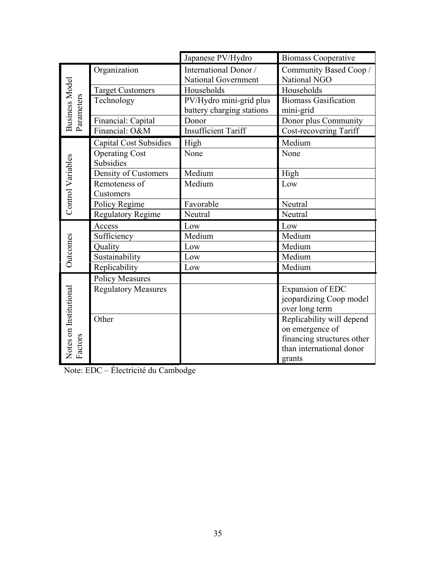|                                     |                               | Japanese PV/Hydro          | <b>Biomass Cooperative</b>  |
|-------------------------------------|-------------------------------|----------------------------|-----------------------------|
|                                     | Organization                  | International Donor /      | Community Based Coop /      |
|                                     |                               | <b>National Government</b> | National NGO                |
|                                     | <b>Target Customers</b>       | Households                 | Households                  |
|                                     | Technology                    | PV/Hydro mini-grid plus    | <b>Biomass Gasification</b> |
|                                     |                               | battery charging stations  | mini-grid                   |
| <b>Business Model</b><br>Parameters | Financial: Capital            | Donor                      | Donor plus Community        |
|                                     | Financial: O&M                | <b>Insufficient Tariff</b> | Cost-recovering Tariff      |
|                                     | <b>Capital Cost Subsidies</b> | High                       | Medium                      |
|                                     | <b>Operating Cost</b>         | None                       | None                        |
|                                     | Subsidies                     |                            |                             |
| Control Variables                   | Density of Customers          | Medium                     | High                        |
|                                     | Remoteness of                 | Medium                     | Low                         |
|                                     | Customers                     |                            |                             |
|                                     | Policy Regime                 | Favorable                  | Neutral                     |
|                                     | <b>Regulatory Regime</b>      | Neutral                    | Neutral                     |
|                                     | Access                        | Low                        | Low                         |
|                                     | Sufficiency                   | Medium                     | Medium                      |
| Outcomes                            | Quality                       | Low                        | Medium                      |
|                                     | Sustainability                | Low                        | Medium                      |
|                                     | Replicability                 | Low                        | Medium                      |
|                                     | <b>Policy Measures</b>        |                            |                             |
|                                     | <b>Regulatory Measures</b>    |                            | Expansion of EDC            |
|                                     |                               |                            | jeopardizing Coop model     |
|                                     |                               |                            | over long term              |
|                                     | Other                         |                            | Replicability will depend   |
|                                     |                               |                            | on emergence of             |
| Notes on Institutional<br>Factors   |                               |                            | financing structures other  |
|                                     |                               |                            | than international donor    |
|                                     |                               |                            | grants                      |

Note: EDC – Électricité du Cambodge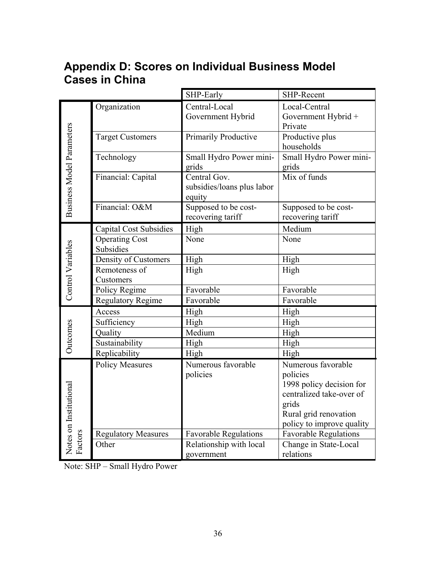## **Appendix D: Scores on Individual Business Model Cases in China**

|                                   |                               | SHP-Early                    | SHP-Recent                     |
|-----------------------------------|-------------------------------|------------------------------|--------------------------------|
|                                   | Organization                  | Central-Local                | Local-Central                  |
|                                   |                               | Government Hybrid            | Government Hybrid +            |
|                                   |                               |                              | Private                        |
|                                   | <b>Target Customers</b>       | Primarily Productive         | Productive plus                |
|                                   |                               |                              | households                     |
|                                   | Technology                    | Small Hydro Power mini-      | Small Hydro Power mini-        |
|                                   |                               | grids<br>Central Gov.        | grids<br>Mix of funds          |
|                                   | Financial: Capital            | subsidies/loans plus labor   |                                |
|                                   |                               | equity                       |                                |
| Business Model Parameters         | Financial: O&M                | Supposed to be cost-         | Supposed to be cost-           |
|                                   |                               | recovering tariff            | recovering tariff              |
|                                   | <b>Capital Cost Subsidies</b> | High                         | Medium                         |
|                                   | <b>Operating Cost</b>         | None                         | None                           |
|                                   | Subsidies                     |                              |                                |
| Control Variables                 | Density of Customers          | High                         | High                           |
|                                   | Remoteness of                 | High                         | High                           |
|                                   | Customers                     |                              |                                |
|                                   | Policy Regime                 | Favorable                    | Favorable                      |
|                                   | <b>Regulatory Regime</b>      | Favorable                    | Favorable                      |
|                                   | Access                        | High                         | High                           |
| Outcomes                          | Sufficiency                   | High                         | High                           |
|                                   | Quality                       | Medium                       | High                           |
|                                   | Sustainability                | High                         | High                           |
|                                   | Replicability                 | High                         | High                           |
|                                   | <b>Policy Measures</b>        | Numerous favorable           | Numerous favorable             |
|                                   |                               | policies                     | policies                       |
|                                   |                               |                              | 1998 policy decision for       |
|                                   |                               |                              | centralized take-over of       |
|                                   |                               |                              | grids<br>Rural grid renovation |
|                                   |                               |                              | policy to improve quality      |
| Notes on Institutional<br>Factors | <b>Regulatory Measures</b>    | <b>Favorable Regulations</b> | <b>Favorable Regulations</b>   |
|                                   | Other                         | Relationship with local      | Change in State-Local          |
|                                   |                               | government                   | relations                      |

Note: SHP – Small Hydro Power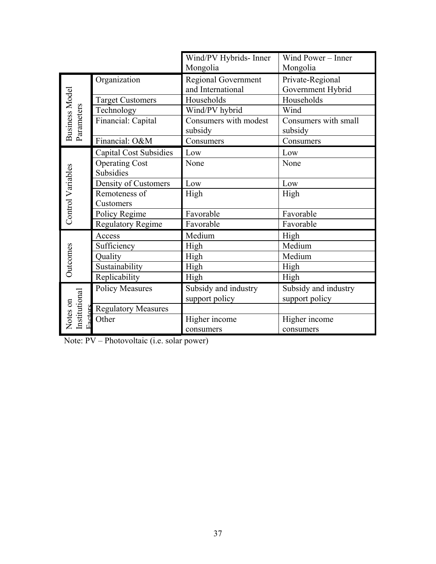|                                      |                               | Wind/PV Hybrids- Inner     | Wind Power - Inner   |
|--------------------------------------|-------------------------------|----------------------------|----------------------|
|                                      |                               | Mongolia                   | Mongolia             |
|                                      | Organization                  | <b>Regional Government</b> | Private-Regional     |
|                                      |                               | and International          | Government Hybrid    |
| <b>Business Model</b>                | <b>Target Customers</b>       | Households                 | Households           |
| Parameters                           | Technology                    | Wind/PV hybrid             | Wind                 |
|                                      | Financial: Capital            | Consumers with modest      | Consumers with small |
|                                      |                               | subsidy                    | subsidy              |
|                                      | Financial: O&M                | Consumers                  | Consumers            |
|                                      | <b>Capital Cost Subsidies</b> | Low                        | Low                  |
|                                      | <b>Operating Cost</b>         | None                       | None                 |
|                                      | <b>Subsidies</b>              |                            |                      |
| Control Variables                    | Density of Customers          | Low                        | Low                  |
|                                      | Remoteness of                 | High                       | High                 |
|                                      | Customers                     |                            |                      |
|                                      | Policy Regime                 | Favorable                  | Favorable            |
|                                      | <b>Regulatory Regime</b>      | Favorable                  | Favorable            |
|                                      | Access                        | Medium                     | High                 |
|                                      | Sufficiency                   | High                       | Medium               |
| Outcomes                             | Quality                       | High                       | Medium               |
|                                      | Sustainability                | High                       | High                 |
|                                      | Replicability                 | High                       | High                 |
|                                      | <b>Policy Measures</b>        | Subsidy and industry       | Subsidy and industry |
|                                      |                               | support policy             | support policy       |
| Institutional<br>Notes on<br>Factors | <b>Regulatory Measures</b>    |                            |                      |
|                                      | Other                         | Higher income              | Higher income        |
|                                      |                               | consumers                  | consumers            |

Note: PV – Photovoltaic (i.e. solar power)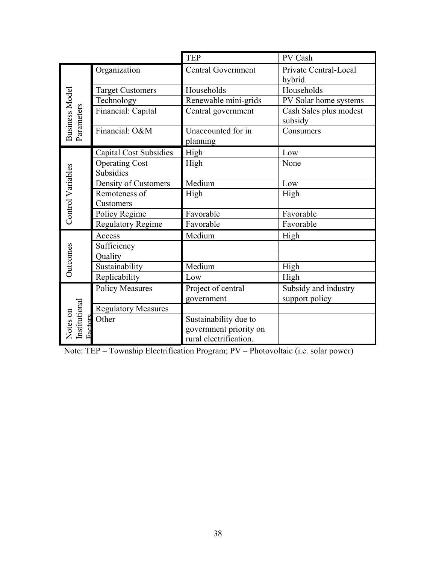|                                      |                                           | <b>TEP</b>                     | PV Cash                           |
|--------------------------------------|-------------------------------------------|--------------------------------|-----------------------------------|
| <b>Business Model</b><br>Parameters  | Organization                              | <b>Central Government</b>      | Private Central-Local<br>hybrid   |
|                                      | <b>Target Customers</b>                   | Households                     | Households                        |
|                                      | Technology                                | Renewable mini-grids           | PV Solar home systems             |
|                                      | Financial: Capital                        | Central government             | Cash Sales plus modest<br>subsidy |
|                                      | Financial: O&M                            | Unaccounted for in<br>planning | Consumers                         |
| Control Variables                    | <b>Capital Cost Subsidies</b>             | High                           | Low                               |
|                                      | <b>Operating Cost</b><br><b>Subsidies</b> | High                           | None                              |
|                                      | Density of Customers                      | Medium                         | Low                               |
|                                      | Remoteness of                             | High                           | High                              |
|                                      | Customers                                 |                                |                                   |
|                                      | Policy Regime                             | Favorable                      | Favorable                         |
|                                      | Regulatory Regime                         | Favorable                      | Favorable                         |
| Outcomes                             | Access                                    | Medium                         | High                              |
|                                      | Sufficiency                               |                                |                                   |
|                                      | Quality                                   |                                |                                   |
|                                      | Sustainability                            | Medium                         | High                              |
|                                      | Replicability                             | Low                            | High                              |
| Institutional<br>Notes on<br>Eactors | <b>Policy Measures</b>                    | Project of central             | Subsidy and industry              |
|                                      |                                           | government                     | support policy                    |
|                                      | <b>Regulatory Measures</b>                |                                |                                   |
|                                      | Other                                     | Sustainability due to          |                                   |
|                                      |                                           | government priority on         |                                   |
|                                      |                                           | rural electrification.         |                                   |

Note: TEP – Township Electrification Program; PV – Photovoltaic (i.e. solar power)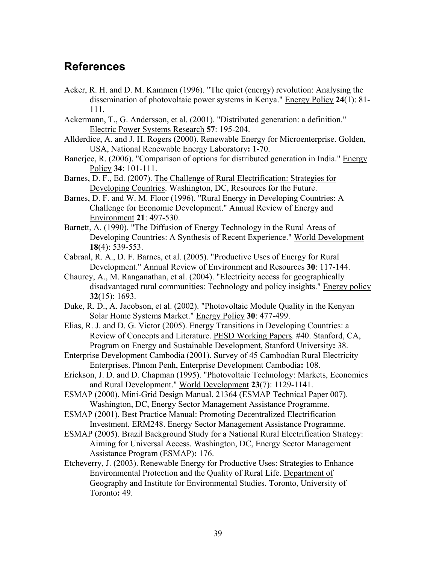## **References**

- Acker, R. H. and D. M. Kammen (1996). "The quiet (energy) revolution: Analysing the dissemination of photovoltaic power systems in Kenya." Energy Policy **24**(1): 81- 111.
- Ackermann, T., G. Andersson, et al. (2001). "Distributed generation: a definition." Electric Power Systems Research **57**: 195-204.
- Allderdice, A. and J. H. Rogers (2000). Renewable Energy for Microenterprise. Golden, USA, National Renewable Energy Laboratory**:** 1-70.
- Banerjee, R. (2006). "Comparison of options for distributed generation in India." Energy Policy **34**: 101-111.
- Barnes, D. F., Ed. (2007). The Challenge of Rural Electrification: Strategies for Developing Countries. Washington, DC, Resources for the Future.
- Barnes, D. F. and W. M. Floor (1996). "Rural Energy in Developing Countries: A Challenge for Economic Development." Annual Review of Energy and Environment **21**: 497-530.
- Barnett, A. (1990). "The Diffusion of Energy Technology in the Rural Areas of Developing Countries: A Synthesis of Recent Experience." World Development **18**(4): 539-553.
- Cabraal, R. A., D. F. Barnes, et al. (2005). "Productive Uses of Energy for Rural Development." Annual Review of Environment and Resources **30**: 117-144.
- Chaurey, A., M. Ranganathan, et al. (2004). "Electricity access for geographically disadvantaged rural communities: Technology and policy insights." Energy policy **32**(15): 1693.
- Duke, R. D., A. Jacobson, et al. (2002). "Photovoltaic Module Quality in the Kenyan Solar Home Systems Market." Energy Policy **30**: 477-499.
- Elias, R. J. and D. G. Victor (2005). Energy Transitions in Developing Countries: a Review of Concepts and Literature. PESD Working Papers. #40. Stanford, CA, Program on Energy and Sustainable Development, Stanford University**:** 38.
- Enterprise Development Cambodia (2001). Survey of 45 Cambodian Rural Electricity Enterprises. Phnom Penh, Enterprise Development Cambodia**:** 108.
- Erickson, J. D. and D. Chapman (1995). "Photovoltaic Technology: Markets, Economics and Rural Development." World Development **23**(7): 1129-1141.
- ESMAP (2000). Mini-Grid Design Manual. 21364 (ESMAP Technical Paper 007). Washington, DC, Energy Sector Management Assistance Programme.
- ESMAP (2001). Best Practice Manual: Promoting Decentralized Electrification Investment. ERM248. Energy Sector Management Assistance Programme.
- ESMAP (2005). Brazil Background Study for a National Rural Electrification Strategy: Aiming for Universal Access. Washington, DC, Energy Sector Management Assistance Program (ESMAP)**:** 176.
- Etcheverry, J. (2003). Renewable Energy for Productive Uses: Strategies to Enhance Environmental Protection and the Quality of Rural Life. Department of Geography and Institute for Environmental Studies. Toronto, University of Toronto**:** 49.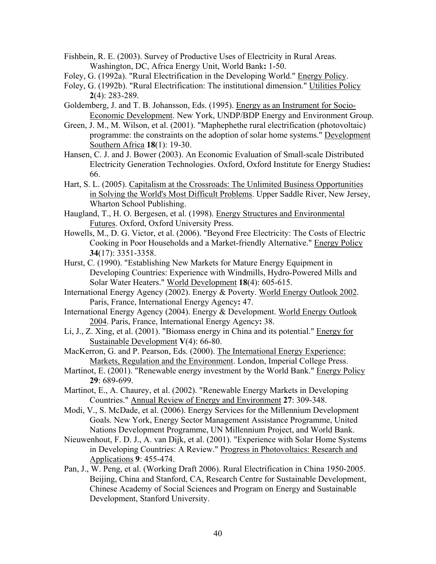- Fishbein, R. E. (2003). Survey of Productive Uses of Electricity in Rural Areas. Washington, DC, Africa Energy Unit, World Bank**:** 1-50.
- Foley, G. (1992a). "Rural Electrification in the Developing World." Energy Policy.
- Foley, G. (1992b). "Rural Electrification: The institutional dimension." Utilities Policy **2**(4): 283-289.
- Goldemberg, J. and T. B. Johansson, Eds. (1995). Energy as an Instrument for Socio-Economic Development. New York, UNDP/BDP Energy and Environment Group.
- Green, J. M., M. Wilson, et al. (2001). "Maphephethe rural electrification (photovoltaic) programme: the constraints on the adoption of solar home systems." Development Southern Africa **18**(1): 19-30.
- Hansen, C. J. and J. Bower (2003). An Economic Evaluation of Small-scale Distributed Electricity Generation Technologies. Oxford, Oxford Institute for Energy Studies**:**  66.
- Hart, S. L. (2005). Capitalism at the Crossroads: The Unlimited Business Opportunities in Solving the World's Most Difficult Problems. Upper Saddle River, New Jersey, Wharton School Publishing.
- Haugland, T., H. O. Bergesen, et al. (1998). Energy Structures and Environmental Futures. Oxford, Oxford University Press.
- Howells, M., D. G. Victor, et al. (2006). "Beyond Free Electricity: The Costs of Electric Cooking in Poor Households and a Market-friendly Alternative." Energy Policy **34**(17): 3351-3358.
- Hurst, C. (1990). "Establishing New Markets for Mature Energy Equipment in Developing Countries: Experience with Windmills, Hydro-Powered Mills and Solar Water Heaters." World Development **18**(4): 605-615.
- International Energy Agency (2002). Energy & Poverty. World Energy Outlook 2002. Paris, France, International Energy Agency**:** 47.
- International Energy Agency (2004). Energy & Development. World Energy Outlook 2004. Paris, France, International Energy Agency**:** 38.
- Li, J., Z. Xing, et al. (2001). "Biomass energy in China and its potential." Energy for Sustainable Development **V**(4): 66-80.
- MacKerron, G. and P. Pearson, Eds. (2000). The International Energy Experience: Markets, Regulation and the Environment. London, Imperial College Press.
- Martinot, E. (2001). "Renewable energy investment by the World Bank." Energy Policy **29**: 689-699.
- Martinot, E., A. Chaurey, et al. (2002). "Renewable Energy Markets in Developing Countries." Annual Review of Energy and Environment **27**: 309-348.
- Modi, V., S. McDade, et al. (2006). Energy Services for the Millennium Development Goals. New York, Energy Sector Management Assistance Programme, United Nations Development Programme, UN Millennium Project, and World Bank.
- Nieuwenhout, F. D. J., A. van Dijk, et al. (2001). "Experience with Solar Home Systems in Developing Countries: A Review." Progress in Photovoltaics: Research and Applications **9**: 455-474.
- Pan, J., W. Peng, et al. (Working Draft 2006). Rural Electrification in China 1950-2005. Beijing, China and Stanford, CA, Research Centre for Sustainable Development, Chinese Academy of Social Sciences and Program on Energy and Sustainable Development, Stanford University.